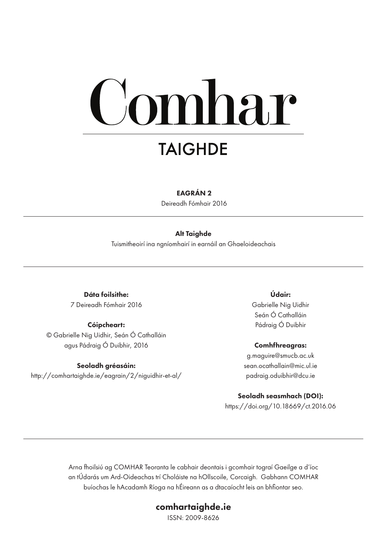# mhar **TAIGHDE**

#### EAGRÁN 2

Deireadh Fómhair 2016

#### Alt Taighde

Tuismitheoirí ina ngníomhairí in earnáil an Ghaeloideachais

Dáta foilsithe: 7 Deireadh Fómhair 2016

#### Cóipcheart:

© Gabrielle Nig Uidhir, Seán Ó Cathalláin agus Pádraig Ó Duibhir, 2016

#### Seoladh gréasáin:

http://comhartaighde.ie/eagrain/2/niguidhir-et-al/

Údair: Gabrielle Nig Uidhir Seán Ó Cathalláin Pádraig Ó Duibhir

Comhfhreagras: g.maguire@smucb.ac.uk sean.ocathallain@mic.ul.ie padraig.oduibhir@dcu.ie

# Seoladh seasmhach (DOI):

https://doi.org/10.18669/ct.2016.06

Arna fhoilsiú ag COMHAR Teoranta le cabhair deontais i gcomhair tograí Gaeilge a d'íoc an tÚdarás um Ard-Oideachas trí Choláiste na hOllscoile, Corcaigh. Gabhann COMHAR buíochas le hAcadamh Ríoga na hÉireann as a dtacaíocht leis an bhfiontar seo.

#### comhartaighde.ie

ISSN: 2009-8626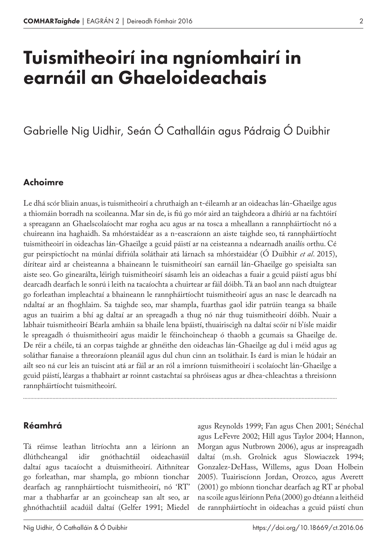# Tuismitheoirí ina ngníomhairí in earnáil an Ghaeloideachais

# Gabrielle Nig Uidhir, Seán Ó Cathalláin agus Pádraig Ó Duibhir

### Achoimre

Le dhá scór bliain anuas, is tuismitheoirí a chruthaigh an t-éileamh ar an oideachas lán-Ghaeilge agus a thiomáin borradh na scoileanna. Mar sin de, is fiú go mór aird an taighdeora a dhíriú ar na fachtóirí a spreagann an Ghaelscolaíocht mar rogha acu agus ar na tosca a mheallann a rannpháirtíocht nó a chuireann ina haghaidh. Sa mhórstaidéar as a n-eascraíonn an aiste taighde seo, tá rannpháirtíocht tuismitheoirí in oideachas lán-Ghaeilge a gcuid páistí ar na ceisteanna a ndearnadh anailís orthu. Cé gur peirspictíocht na múnlaí difriúla soláthair atá lárnach sa mhórstaidéar (Ó Duibhir *et al*. 2015), dírítear aird ar cheisteanna a bhaineann le tuismitheoirí san earnáil lán-Ghaeilge go speisialta san aiste seo. Go ginearálta, léirigh tuismitheoirí sásamh leis an oideachas a fuair a gcuid páistí agus bhí dearcadh dearfach le sonrú i leith na tacaíochta a chuirtear ar fáil dóibh. Tá an baol ann nach dtuigtear go forleathan impleachtaí a bhaineann le rannpháirtíocht tuismitheoirí agus an nasc le dearcadh na ndaltaí ar an fhoghlaim. Sa taighde seo, mar shampla, fuarthas gaol idir patrúin teanga sa bhaile agus an tuairim a bhí ag daltaí ar an spreagadh a thug nó nár thug tuismitheoirí dóibh. Nuair a labhair tuismitheoirí Béarla amháin sa bhaile lena bpáistí, thuairiscigh na daltaí scóir ní b'ísle maidir le spreagadh ó thuismitheoirí agus maidir le féinchoincheap ó thaobh a gcumais sa Ghaeilge de. De réir a chéile, tá an corpas taighde ar ghnéithe den oideachas lán-Ghaeilge ag dul i méid agus ag soláthar fianaise a threoraíonn pleanáil agus dul chun cinn an tsoláthair. Is éard is mian le húdair an ailt seo ná cur leis an tuiscint atá ar fáil ar an ról a imríonn tuismitheoirí i scolaíocht lán-Ghaeilge a gcuid páistí, léargas a thabhairt ar roinnt castachtaí sa phróiseas agus ar dhea-chleachtas a threisíonn rannpháirtíocht tuismitheoirí.

#### Réamhrá

Tá réimse leathan litríochta ann a léiríonn an dlúthcheangal idir gnóthachtáil oideachasúil daltaí agus tacaíocht a dtuismitheoirí. Aithnítear go forleathan, mar shampla, go mbíonn tionchar dearfach ag rannpháirtíocht tuismitheoirí, nó 'RT' mar a thabharfar ar an gcoincheap san alt seo, ar ghnóthachtáil acadúil daltaí (Gelfer 1991; Miedel

agus Reynolds 1999; Fan agus Chen 2001; Sénéchal agus LeFevre 2002; Hill agus Taylor 2004; Hannon, Morgan agus Nutbrown 2006), agus ar inspreagadh daltaí (m.sh. Grolnick agus Slowiaczek 1994; Gonzalez-DeHass, Willems, agus Doan Holbein 2005). Tuairiscíonn Jordan, Orozco, agus Averett (2001) go mbíonn tionchar dearfach ag RT ar phobal na scoile agus léiríonn Peña (2000) go dtéann a leithéid de rannpháirtíocht in oideachas a gcuid páistí chun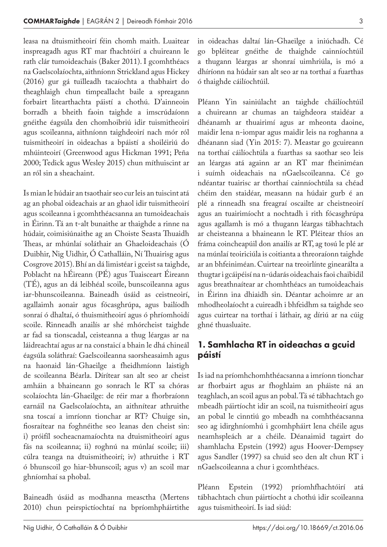leasa na dtuismitheoirí féin chomh maith. Luaitear inspreagadh agus RT mar fhachtóirí a chuireann le rath clár tumoideachais (Baker 2011). I gcomhthéacs na Gaelscolaíochta, aithníonn Strickland agus Hickey (2016) gur gá tuilleadh tacaíochta a thabhairt do theaghlaigh chun timpeallacht baile a spreagann forbairt litearthachta páistí a chothú. D'ainneoin borradh a bheith faoin taighde a imscrúdaíonn gnéithe éagsúla den chomhoibriú idir tuismitheoirí agus scoileanna, aithníonn taighdeoirí nach mór ról tuismitheoirí in oideachas a bpáistí a shoiléiriú do mhúinteoirí (Greenwood agus Hickman 1991; Peña 2000; Tedick agus Wesley 2015) chun míthuiscint ar an ról sin a sheachaint.

Is mian le húdair an tsaothair seo cur leis an tuiscint atá ag an phobal oideachais ar an ghaol idir tuismitheoirí agus scoileanna i gcomhthéacsanna an tumoideachais in Éirinn. Tá an t-alt bunaithe ar thaighde a rinne na húdair, coimisiúnaithe ag an Choiste Seasta Thuaidh Theas, ar mhúnlaí soláthair an Ghaeloideachais (Ó Duibhir, Nig Uidhir, Ó Cathalláin, Ní Thuairisg agus Cosgrove 2015). Bhí an dá limistéar i gceist sa taighde, Poblacht na hÉireann (PÉ) agus Tuaisceart Éireann (TÉ), agus an dá leibhéal scoile, bunscoileanna agus iar-bhunscoileanna. Baineadh úsáid as ceistneoirí, agallaimh aonair agus fócasghrúpa, agus bailíodh sonraí ó dhaltaí, ó thuismitheoirí agus ó phríomhoidí scoile. Rinneadh anailís ar shé mhórcheist taighde ar fad sa tionscadal, ceisteanna a thug léargas ar na láidreachtaí agus ar na constaicí a bhain le dhá chineál éagsúla soláthraí: Gaelscoileanna saorsheasaimh agus na haonaid lán-Ghaeilge a fheidhmíonn laistigh de scoileanna Béarla. Dírítear san alt seo ar cheist amháin a bhaineann go sonrach le RT sa chóras scolaíochta lán-Ghaeilge: de réir mar a fhorbraíonn earnáil na Gaelscolaíochta, an aithnítear athruithe sna toscaí a imríonn tionchar ar RT? Chuige sin, fiosraítear na foghnéithe seo leanas den cheist sin: i) próifíl socheacnamaíochta na dtuismitheoirí agus fás na scoileanna; ii) roghnú na múnlaí scoile; iii) cúlra teanga na dtuismitheoirí; iv) athruithe i RT ó bhunscoil go hiar-bhunscoil; agus v) an scoil mar ghníomhaí sa phobal.

Baineadh úsáid as modhanna measctha (Mertens 2010) chun peirspictíochtaí na bpríomhpháirtithe in oideachas daltaí lán-Ghaeilge a iniúchadh. Cé go bpléitear gnéithe de thaighde cainníochtúil a thugann léargas ar shonraí uimhriúla, is mó a dhíríonn na húdair san alt seo ar na torthaí a fuarthas ó thaighde cáilíochtúil.

Pléann Yin sainiúlacht an taighde cháilíochtúil a chuireann ar chumas an taighdeora staidéar a dhéanamh ar thuairimí agus ar mheonta daoine, maidir lena n-iompar agus maidir leis na roghanna a dhéanann siad (Yin 2015: 7). Meastar go gcuireann na torthaí cáilíochtúla a fuarthas sa saothar seo leis an léargas atá againn ar an RT mar fheiniméan i suímh oideachais na nGaelscoileanna. Cé go ndéantar tuairisc ar thorthaí cainníochtúla sa chéad chéim den staidéar, measann na húdair gurb é an plé a rinneadh sna freagraí oscailte ar cheistneoirí agus an tuairimíocht a nochtadh i rith fócasghrúpa agus agallamh is mó a thugann léargas tábhachtach ar cheisteanna a bhaineann le RT. Pléitear thíos an fráma coincheapúil don anailís ar RT, ag tosú le plé ar na múnlaí teoiriciúla is coitianta a threoraíonn taighde ar an bhfeiniméan. Cuirtear na treoirlínte ginearálta a thugtar i gcáipéisí na n-údarás oideachais faoi chaibidil agus breathnaítear ar chomhthéacs an tumoideachais in Éirinn ina dhiaidh sin. Déantar achoimre ar an mhodheolaíocht a cuireadh i bhfeidhm sa taighde seo agus cuirtear na torthaí i láthair, ag díriú ar na cúig ghné thuasluaite.

# 1. Samhlacha RT in oideachas a gcuid páistí

Is iad na príomhchomhthéacsanna a imríonn tionchar ar fhorbairt agus ar fhoghlaim an pháiste ná an teaghlach, an scoil agus an pobal. Tá sé tábhachtach go mbeadh páirtíocht idir an scoil, na tuismitheoirí agus an pobal le cinntiú go mbeadh na comhthéacsanna seo ag idirghníomhú i gcomhpháirt lena chéile agus neamhspleách ar a chéile. Déanaimid tagairt do shamhlacha Epstein (1992) agus Hoover-Dempsey agus Sandler (1997) sa chuid seo den alt chun RT i nGaelscoileanna a chur i gcomhthéacs.

Pléann Epstein (1992) príomhfhachtóirí atá tábhachtach chun páirtíocht a chothú idir scoileanna agus tuismitheoirí. Is iad siúd: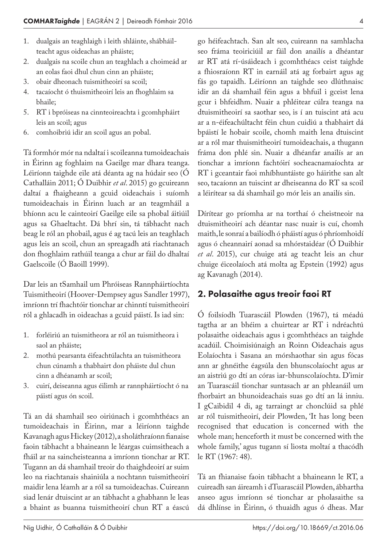- 1. dualgais an teaghlaigh i leith shláinte, shábháilteacht agus oideachas an pháiste;
- 2. dualgais na scoile chun an teaghlach a choimeád ar an eolas faoi dhul chun cinn an pháiste;
- 3. obair dheonach tuismitheoirí sa scoil;
- 4. tacaíocht ó thuismitheoirí leis an fhoghlaim sa bhaile;
- 5. RT i bpróiseas na cinnteoireachta i gcomhpháirt leis an scoil; agus
- 6. comhoibriú idir an scoil agus an pobal.

Tá formhór mór na ndaltaí i scoileanna tumoideachais in Éirinn ag foghlaim na Gaeilge mar dhara teanga. Léiríonn taighde eile atá déanta ag na húdair seo (Ó Cathalláin 2011; Ó Duibhir *et al*. 2015) go gcuireann daltaí a fhaigheann a gcuid oideachais i suíomh tumoideachais in Éirinn luach ar an teagmháil a bhíonn acu le cainteoirí Gaeilge eile sa phobal áitiúil agus sa Ghaeltacht. Dá bhrí sin, tá tábhacht nach beag le ról an phobail, agus é ag tacú leis an teaghlach agus leis an scoil, chun an spreagadh atá riachtanach don fhoghlaim rathúil teanga a chur ar fáil do dhaltaí Gaelscoile (Ó Baoill 1999).

Dar leis an tSamhail um Phróiseas Rannpháirtíochta Tuismitheoirí (Hoover-Dempsey agus Sandler 1997), imríonn trí fhachtóir tionchar ar chinntí tuismitheoirí ról a ghlacadh in oideachas a gcuid páistí. Is iad sin:

- 1. forléiriú an tuismitheora ar ról an tuismitheora i saol an pháiste;
- 2. mothú pearsanta éifeachtúlachta an tuismitheora chun cúnamh a thabhairt don pháiste dul chun cinn a dhéanamh ar scoil;
- 3. cuirí, deiseanna agus éilimh ar rannpháirtíocht ó na páistí agus ón scoil.

Tá an dá shamhail seo oiriúnach i gcomhthéacs an tumoideachais in Éirinn, mar a léiríonn taighde Kavanagh agus Hickey (2012), a sholáthraíonn fianaise faoin tábhacht a bhaineann le léargas cuimsitheach a fháil ar na saincheisteanna a imríonn tionchar ar RT. Tugann an dá shamhail treoir do thaighdeoirí ar suim leo na riachtanais shainiúla a nochtann tuismitheoirí maidir lena léamh ar a ról sa tumoideachas. Cuireann siad lenár dtuiscint ar an tábhacht a ghabhann le leas a bhaint as buanna tuismitheoirí chun RT a éascú

go héifeachtach. San alt seo, cuireann na samhlacha seo fráma teoiriciúil ar fáil don anailís a dhéantar ar RT atá rí-úsáideach i gcomhthéacs ceist taighde a fhiosraíonn RT in earnáil atá ag forbairt agus ag fás go tapaidh. Léiríonn an taighde seo dlúthnaisc idir an dá shamhail féin agus a bhfuil i gceist lena gcur i bhfeidhm. Nuair a phléitear cúlra teanga na dtuismitheoirí sa saothar seo, is í an tuiscint atá acu ar a n-éifeachúltacht féin chun cuidiú a thabhairt dá bpáistí le hobair scoile, chomh maith lena dtuiscint ar a ról mar thuismitheoirí tumoideachais, a thugann fráma don phlé sin. Nuair a dhéanfar anailís ar an tionchar a imríonn fachtóirí socheacnamaíochta ar RT i gceantair faoi mhíbhuntáiste go háirithe san alt seo, tacaíonn an tuiscint ar dheiseanna do RT sa scoil a léirítear sa dá shamhail go mór leis an anailís sin.

Dírítear go príomha ar na torthaí ó cheistneoir na dtuismitheoirí ach déantar nasc nuair is cuí, chomh maith, le sonraí a bailíodh ó pháistí agus ó phríomhoidí agus ó cheannairí aonad sa mhórstaidéar (Ó Duibhir *et al*. 2015), cur chuige atá ag teacht leis an chur chuige éiceolaíoch atá molta ag Epstein (1992) agus ag Kavanagh (2014).

# 2. Polasaithe agus treoir faoi RT

Ó foilsíodh Tuarascáil Plowden (1967), tá méadú tagtha ar an bhéim a chuirtear ar RT i ndréachtú polasaithe oideachais agus i gcomhthéacs an taighde acadúil. Choimisiúnaigh an Roinn Oideachais agus Eolaíochta i Sasana an mórshaothar sin agus fócas ann ar ghnéithe éagsúla den bhunscolaíocht agus ar an aistriú go dtí an córas iar-bhunscolaíochta. D'imir an Tuarascáil tionchar suntasach ar an phleanáil um fhorbairt an bhunoideachais suas go dtí an lá inniu. I gCaibidil 4 di, ag tarraingt ar chonclúid sa phlé ar ról tuismitheoirí, deir Plowden, 'It has long been recognised that education is concerned with the whole man; henceforth it must be concerned with the whole family,' agus tugann sí liosta moltaí a thacódh le RT (1967: 48).

Tá an fhianaise faoin tábhacht a bhaineann le RT, a cuireadh san áireamh i dTuarascáil Plowden, ábhartha anseo agus imríonn sé tionchar ar pholasaithe sa dá dhlínse in Éirinn, ó thuaidh agus ó dheas. Mar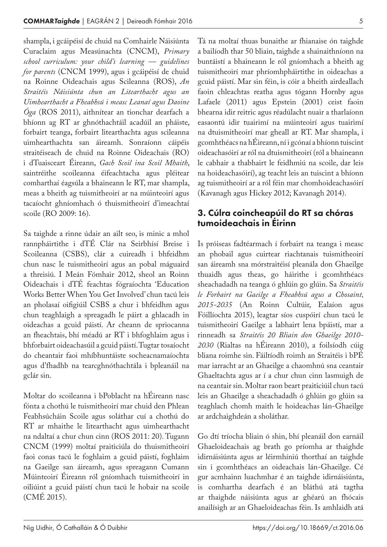shampla, i gcáipéisí de chuid na Comhairle Náisiúnta Curaclaim agus Measúnachta (CNCM), *Primary school curriculum: your child's learning — guidelines for parents* (CNCM 1999), agus i gcáipéisí de chuid na Roinne Oideachais agus Scileanna (ROS), *An Straitéis Náisiúnta chun an Litearthacht agus an Uimhearthacht a Fheabhsú i measc Leanaí agus Daoine Óga* (ROS 2011), aithnítear an tionchar dearfach a bhíonn ag RT ar ghnóthachtáil acadúil an pháiste, forbairt teanga, forbairt litearthachta agus scileanna uimhearthachta san áireamh. Sonraíonn cáipéis straitéiseach de chuid na Roinne Oideachais (RO) i dTuaisceart Éireann, *Gach Scoil ina Scoil Mhaith*, saintréithe scoileanna éifeachtacha agus pléitear comharthaí éagsúla a bhaineann le RT, mar shampla, meas a bheith ag tuismitheoirí ar na múinteoirí agus tacaíocht ghníomhach ó thuismitheoirí d'imeachtaí scoile (RO 2009: 16).

Sa taighde a rinne údair an ailt seo, is minic a mhol rannpháirtithe i dTÉ Clár na Seirbhísí Breise i Scoileanna (CSBS), clár a cuireadh i bhfeidhm chun nasc le tuismitheoirí agus an pobal máguaird a threisiú. I Meán Fómhair 2012, sheol an Roinn Oideachais i dTÉ feachtas fógraíochta 'Education Works Better When You Get Involved' chun tacú leis an pholasaí oifigiúil CSBS a chur i bhfeidhm agus chun teaghlaigh a spreagadh le páirt a ghlacadh in oideachas a gcuid páistí. Ar cheann de spriocanna an fheachtais, bhí méadú ar RT i bhfoghlaim agus i bhforbairt oideachasúil a gcuid páistí. Tugtar tosaíocht do cheantair faoi mhíbhuntáiste socheacnamaíochta agus d'fhadhb na tearcghnóthachtála i bpleanáil na gclár sin.

Moltar do scoileanna i bPoblacht na hÉireann nasc fónta a chothú le tuismitheoirí mar chuid den Phlean Feabhsúcháin Scoile agus soláthar cuí a chothú do RT ar mhaithe le litearthacht agus uimhearthacht na ndaltaí a chur chun cinn (ROS 2011: 20). Tugann CNCM (1999) moltaí praiticiúla do thuismitheoirí faoi conas tacú le foghlaim a gcuid páistí, foghlaim na Gaeilge san áireamh, agus spreagann Cumann Múinteoirí Éireann ról gníomhach tuismitheoirí in oiliúint a gcuid páistí chun tacú le hobair na scoile (CMÉ 2015).

Tá na moltaí thuas bunaithe ar fhianaise ón taighde a bailíodh thar 50 bliain, taighde a shainaithníonn na buntáistí a bhaineann le ról gníomhach a bheith ag tuismitheoirí mar phríomhpháirtithe in oideachas a gcuid páistí. Mar sin féin, is cóir a bheith airdeallach faoin chleachtas reatha agus tógann Hornby agus Lafaele (2011) agus Epstein (2001) ceist faoin bhearna idir reitric agus réadúlacht nuair a tharlaíonn easaontú idir tuairimí na múinteoirí agus tuairimí na dtuismitheoirí mar gheall ar RT. Mar shampla, i gcomhthéacs na hÉireann, ní i gcónaí a bhíonn tuiscint oideachasóirí ar ról na dtuismitheoirí (ról a bhaineann le cabhair a thabhairt le feidhmiú na scoile, dar leis na hoideachasóirí), ag teacht leis an tuiscint a bhíonn ag tuismitheoirí ar a ról féin mar chomhoideachasóirí (Kavanagh agus Hickey 2012; Kavanagh 2014).

### 3. Cúlra coincheapúil do RT sa chóras tumoideachais in Éirinn

Is próiseas fadtéarmach í forbairt na teanga i measc an phobail agus cuirtear riachtanais tuismitheoirí san áireamh sna mórstraitéisí pleanála don Ghaeilge thuaidh agus theas, go háirithe i gcomhthéacs sheachadadh na teanga ó ghlúin go glúin. Sa *Straitéis le Forbairt na Gaeilge a Fheabhsú agus a Chosaint, 2015-2035* (An Roinn Cultúir, Ealaíon agus Fóillíochta 2015), leagtar síos cuspóirí chun tacú le tuismitheoirí Gaeilge a labhairt lena bpáistí, mar a rinneadh sa *Straitéis 20 Bliain don Ghaeilge 2010- 2030* (Rialtas na hÉireann 2010), a foilsíodh cúig bliana roimhe sin. Fáiltíodh roimh an Straitéis i bPÉ mar iarracht ar an Ghaeilge a chaomhnú sna ceantair Ghaeltachta agus ar í a chur chun cinn lasmuigh de na ceantair sin. Moltar raon beart praiticiúil chun tacú leis an Ghaeilge a sheachadadh ó ghlúin go glúin sa teaghlach chomh maith le hoideachas lán-Ghaeilge ar ardchaighdeán a sholáthar.

Go dtí tríocha bliain ó shin, bhí pleanáil don earnáil Ghaeloideachais ag brath go príomha ar thaighde idirnáisiúnta agus ar léirmhíniú thorthaí an taighde sin i gcomhthéacs an oideachais lán-Ghaeilge. Cé gur acmhainn luachmhar é an taighde idirnáisiúnta, is comhartha dearfach é an bláthú atá tagtha ar thaighde náisiúnta agus ar ghéarú an fhócais anailísigh ar an Ghaeloideachas féin. Is amhlaidh atá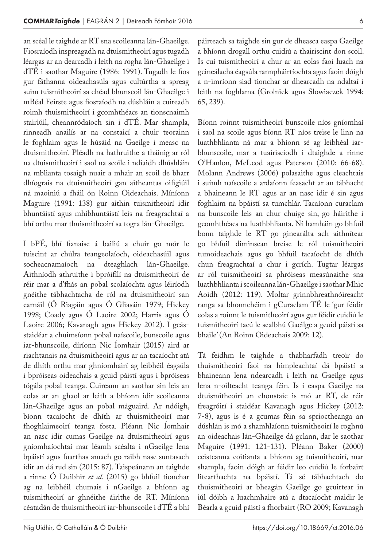an scéal le taighde ar RT sna scoileanna lán-Ghaeilge. Fiosraíodh inspreagadh na dtuismitheoirí agus tugadh léargas ar an dearcadh i leith na rogha lán-Ghaeilge i dTÉ i saothar Maguire (1986: 1991). Tugadh le fios gur fáthanna oideachasúla agus cultúrtha a spreag suim tuismitheoirí sa chéad bhunscoil lán-Ghaeilge i mBéal Feirste agus fiosraíodh na dúshláin a cuireadh roimh thuismitheoirí i gcomhthéacs an tionscnaimh stairiúil, cheannródaíoch sin i dTÉ. Mar shampla, rinneadh anailís ar na constaicí a chuir teorainn le foghlaim agus le húsáid na Gaeilge i measc na dtuismitheoirí. Pléadh na hathruithe a tháinig ar ról na dtuismitheoirí i saol na scoile i ndiaidh dhúshláin na mblianta tosaigh nuair a mhair an scoil de bharr dhíograis na dtuismitheoirí gan aitheantas oifigiúil ná maoiniú a fháil ón Roinn Oideachais. Míníonn Maguire (1991: 138) gur aithin tuismitheoirí idir bhuntáistí agus mhíbhuntáistí leis na freagrachtaí a bhí orthu mar thuismitheoirí sa togra lán-Ghaeilge.

I bPÉ, bhí fianaise á bailiú a chuir go mór le tuiscint ar chúlra teangeolaíoch, oideachasúil agus socheacnamaíoch na dteaghlach lán-Ghaeilge. Aithníodh athruithe i bpróifílí na dtuismitheoirí de réir mar a d'fhás an pobal scolaíochta agus léiríodh gnéithe tábhachtacha de ról na dtuismitheoirí san earnáil (Ó Riagáin agus Ó Gliasáin 1979; Hickey 1998; Coady agus Ó Laoire 2002; Harris agus Ó Laoire 2006; Kavanagh agus Hickey 2012). I gcásstaidéar a chuimsíonn pobal naíscoile, bunscoile agus iar-bhunscoile, díríonn Nic Íomhair (2015) aird ar riachtanais na dtuismitheoirí agus ar an tacaíocht atá de dhíth orthu mar ghníomhairí ag leibhéil éagsúla i bpróiseas oideachais a gcuid páistí agus i bpróiseas tógála pobal teanga. Cuireann an saothar sin leis an eolas ar an ghaol ar leith a bhíonn idir scoileanna lán-Ghaeilge agus an pobal máguaird. Ar ndóigh, bíonn tacaíocht de dhíth ar thuismitheoirí mar fhoghlaimeoirí teanga fosta. Pléann Nic Íomhair an nasc idir cumas Gaeilge na dtuismitheoirí agus gníomhaíochtaí mar léamh scéalta i nGaeilge lena bpáistí agus fuarthas amach go raibh nasc suntasach idir an dá rud sin (2015: 87). Taispeánann an taighde a rinne Ó Duibhir *et al*. (2015) go bhfuil tionchar ag na leibhéil chumais i nGaeilge a bhíonn ag tuismitheoirí ar ghnéithe áirithe de RT. Míníonn céatadán de thuismitheoirí iar-bhunscoile i dTÉ a bhí

páirteach sa taighde sin gur de dheasca easpa Gaeilge a bhíonn drogall orthu cuidiú a thairiscint don scoil. Is cuí tuismitheoirí a chur ar an eolas faoi luach na gcineálacha éagsúla rannpháirtíochta agus faoin dóigh a n-imríonn siad tionchar ar dhearcadh na ndaltaí i leith na foghlama (Grolnick agus Slowiaczek 1994: 65, 239).

Bíonn roinnt tuismitheoirí bunscoile níos gníomhaí i saol na scoile agus bíonn RT níos treise le linn na luathbhlianta ná mar a bhíonn sé ag leibhéal iarbhunscoile, mar a tuairiscíodh i dtaighde a rinne O'Hanlon, McLeod agus Paterson (2010: 66-68). Molann Andrews (2006) polasaithe agus cleachtais i suímh naíscoile a ardaíonn feasacht ar an tábhacht a bhaineann le RT agus ar an nasc idir é sin agus foghlaim na bpáistí sa tumchlár. Tacaíonn curaclam na bunscoile leis an chur chuige sin, go háirithe i gcomhthéacs na luathbhlianta. Ní hamháin go bhfuil bonn taighde le RT go ginearálta ach aithnítear go bhfuil diminsean breise le ról tuismitheoirí tumoideachais agus go bhfuil tacaíocht de dhíth chun freagrachtaí a chur i gcrích. Tugtar léargas ar ról tuismitheoirí sa phróiseas measúnaithe sna luathbhlianta i scoileanna lán-Ghaeilge i saothar Mhic Aoidh (2012: 119). Moltar grinnbhreathnóireacht ranga sa bhonnchéim i gCuraclam TÉ le 'gur féidir eolas a roinnt le tuismitheoirí agus gur féidir cuidiú le tuismitheoirí tacú le sealbhú Gaeilge a gcuid páistí sa bhaile' (An Roinn Oideachais 2009: 12).

Tá feidhm le taighde a thabharfadh treoir do thuismitheoirí faoi na himpleachtaí dá bpáistí a bhaineann lena ndearcadh i leith na Gaeilge agus lena n-oilteacht teanga féin. Is í easpa Gaeilge na dtuismitheoirí an chonstaic is mó ar RT, de réir freagróirí i staidéar Kavanagh agus Hickey (2012: 7-8), agus is é a gcumas féin sa sprioctheanga an dúshlán is mó a shamhlaíonn tuismitheoirí le roghnú an oideachais lán-Ghaeilge dá gclann, dar le saothar Maguire (1991: 121-131). Pléann Baker (2000) ceisteanna coitianta a bhíonn ag tuismitheoirí, mar shampla, faoin dóigh ar féidir leo cuidiú le forbairt litearthachta na bpáistí. Tá sé tábhachtach do thuismitheoirí ar bheagán Gaeilge go gcuirtear in iúl dóibh a luachmhaire atá a dtacaíocht maidir le Béarla a gcuid páistí a fhorbairt (RO 2009; Kavanagh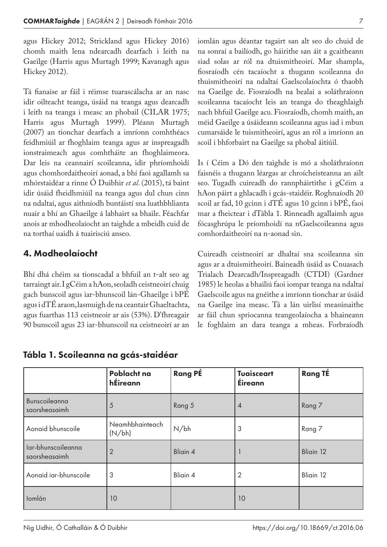agus Hickey 2012; Strickland agus Hickey 2016) chomh maith lena ndearcadh dearfach i leith na Gaeilge (Harris agus Murtagh 1999; Kavanagh agus Hickey 2012).

Tá fianaise ar fáil i réimse tuarascálacha ar an nasc idir oilteacht teanga, úsáid na teanga agus dearcadh i leith na teanga i measc an phobail (CILAR 1975; Harris agus Murtagh 1999). Pléann Murtagh (2007) an tionchar dearfach a imríonn comhthéacs feidhmiúil ar fhoghlaim teanga agus ar inspreagadh ionstraimeach agus comhtháite an fhoghlaimeora. Dar leis na ceannairí scoileanna, idir phríomhoidí agus chomhordaitheoirí aonad, a bhí faoi agallamh sa mhórstaidéar a rinne Ó Duibhir *et al*. (2015), tá baint idir úsáid fheidhmiúil na teanga agus dul chun cinn na ndaltaí, agus aithníodh buntáistí sna luathbhlianta nuair a bhí an Ghaeilge á labhairt sa bhaile. Féachfar anois ar mhodheolaíocht an taighde a mbeidh cuid de na torthaí uaidh á tuairisciú anseo.

# 4. Modheolaíocht

Bhí dhá chéim sa tionscadal a bhfuil an t-alt seo ag tarraingt air. I gCéim a hAon, seoladh ceistneoirí chuig gach bunscoil agus iar-bhunscoil lán-Ghaeilge i bPÉ agus i dTÉ araon, lasmuigh de na ceantair Ghaeltachta, agus fuarthas 113 ceistneoir ar ais (53%). D'fhreagair 90 bunscoil agus 23 iar-bhunscoil na ceistneoirí ar an iomlán agus déantar tagairt san alt seo do chuid de na sonraí a bailíodh, go háirithe san áit a gcaitheann siad solas ar ról na dtuismitheoirí. Mar shampla, fiosraíodh cén tacaíocht a thugann scoileanna do thuismitheoirí na ndaltaí Gaelscolaíochta ó thaobh na Gaeilge de. Fiosraíodh na bealaí a soláthraíonn scoileanna tacaíocht leis an teanga do theaghlaigh nach bhfuil Gaeilge acu. Fiosraíodh, chomh maith, an méid Gaeilge a úsáideann scoileanna agus iad i mbun cumarsáide le tuismitheoirí, agus an ról a imríonn an scoil i bhforbairt na Gaeilge sa phobal áitiúil.

Is í Céim a Dó den taighde is mó a sholáthraíonn faisnéis a thugann léargas ar chroícheisteanna an ailt seo. Tugadh cuireadh do rannpháirtithe i gCéim a hAon páirt a ghlacadh i gcás-staidéir. Roghnaíodh 20 scoil ar fad, 10 gcinn i dTÉ agus 10 gcinn i bPÉ, faoi mar a fheictear i dTábla 1. Rinneadh agallaimh agus fócasghrúpa le príomhoidí na nGaelscoileanna agus comhordaitheoirí na n-aonad sin.

Cuireadh ceistneoirí ar dhaltaí sna scoileanna sin agus ar a dtuismitheoirí. Baineadh úsáid as Cnuasach Trialach Dearcadh/Inspreagadh (CTDI) (Gardner 1985) le heolas a bhailiú faoi iompar teanga na ndaltaí Gaelscoile agus na gnéithe a imríonn tionchar ar úsáid na Gaeilge ina measc. Tá a lán uirlisí measúnaithe ar fáil chun spriocanna teangeolaíocha a bhaineann le foghlaim an dara teanga a mheas. Forbraíodh

|                                     | Poblacht na<br>hÉireann   | <b>Rang PÉ</b> | <b>Tuaisceart</b><br>Éireann | <b>Rang TÉ</b> |
|-------------------------------------|---------------------------|----------------|------------------------------|----------------|
| Bunscoileanna<br>saorsheasaimh      | 5                         | Rang 5         | $\overline{A}$               | Rang 7         |
| Aonaid bhunscoile                   | Neamhbhainteach<br>(N/bh) | N/bh           | 3                            | Rang 7         |
| lar-bhunscoileanna<br>saorsheasaimh | $\overline{2}$            | Bliain 4       |                              | Bliain 12      |
| Aonaid iar-bhunscoile               | 3                         | Bliain 4       | $\overline{2}$               | Bliain 12      |
| Iomlán                              | 10                        |                | 10                           |                |

#### Tábla 1. Scoileanna na gcás-staidéar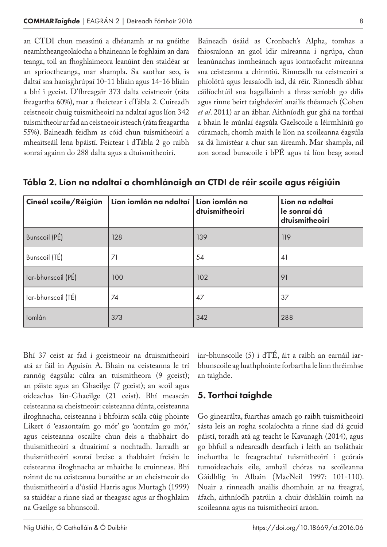an CTDI chun measúnú a dhéanamh ar na gnéithe neamhtheangeolaíocha a bhaineann le foghlaim an dara teanga, toil an fhoghlaimeora leanúint den staidéar ar an sprioctheanga, mar shampla. Sa saothar seo, is daltaí sna haoisghrúpaí 10-11 bliain agus 14-16 bliain a bhí i gceist. D'fhreagair 373 dalta ceistneoir (ráta freagartha 60%), mar a fheictear i dTábla 2. Cuireadh ceistneoir chuig tuismitheoirí na ndaltaí agus líon 342 tuismitheoir ar fad an ceistneoir isteach (ráta freagartha 55%). Baineadh feidhm as cóid chun tuismitheoirí a mheaitseáil lena bpáistí. Feictear i dTábla 2 go raibh sonraí againn do 288 dalta agus a dtuismitheoirí.

Baineadh úsáid as Cronbach's Alpha, tomhas a fhiosraíonn an gaol idir míreanna i ngrúpa, chun leanúnachas inmheánach agus iontaofacht míreanna sna ceisteanna a chinntiú. Rinneadh na ceistneoirí a phíolótú agus leasaíodh iad, dá réir. Rinneadh ábhar cáilíochtúil sna hagallaimh a thras-scríobh go dílis agus rinne beirt taighdeoirí anailís théamach (Cohen *et al*. 2011) ar an ábhar. Aithníodh gur ghá na torthaí a bhain le múnlaí éagsúla Gaelscoile a léirmhíniú go cúramach, chomh maith le líon na scoileanna éagsúla sa dá limistéar a chur san áireamh. Mar shampla, níl aon aonad bunscoile i bPÉ agus tá líon beag aonad

| Cineál scoile/Réigiún | Líon iomlán na ndaltaí Líon iomlán na | dtuismitheoirí | Líon na ndaltaí<br>le sonraí dá<br>dtuismitheoirí |
|-----------------------|---------------------------------------|----------------|---------------------------------------------------|
| Bunscoil (PÉ)         | 128                                   | 139            | 119                                               |
| Bunscoil (TÉ)         | 71                                    | 54             | 41                                                |
| Iar-bhunscoil (PÉ)    | 100                                   | 102            | 91                                                |
| Iar-bhunscoil (TÉ)    | 74                                    | 47             | 37                                                |
| lomlán                | 373                                   | 342            | 288                                               |

Tábla 2. Líon na ndaltaí a chomhlánaigh an CTDI de réir scoile agus réigiúin

Bhí 37 ceist ar fad i gceistneoir na dtuismitheoirí atá ar fáil in Aguisín A. Bhain na ceisteanna le trí rannóg éagsúla: cúlra an tuismitheora (9 gceist); an páiste agus an Ghaeilge (7 gceist); an scoil agus oideachas lán-Ghaeilge (21 ceist). Bhí meascán ceisteanna sa cheistneoir: ceisteanna dúnta, ceisteanna ilroghnacha, ceisteanna i bhfoirm scála cúig phointe Likert ó 'easaontaím go mór' go 'aontaím go mór,' agus ceisteanna oscailte chun deis a thabhairt do thuismitheoirí a dtuairimí a nochtadh. Iarradh ar thuismitheoirí sonraí breise a thabhairt freisin le ceisteanna ilroghnacha ar mhaithe le cruinneas. Bhí roinnt de na ceisteanna bunaithe ar an cheistneoir do thuismitheoirí a d'úsáid Harris agus Murtagh (1999) sa staidéar a rinne siad ar theagasc agus ar fhoghlaim na Gaeilge sa bhunscoil.

iar-bhunscoile (5) i dTÉ, áit a raibh an earnáil iarbhunscoile ag luathphointe forbartha le linn thréimhse an taighde.

# 5. Torthaí taighde

Go ginearálta, fuarthas amach go raibh tuismitheoirí sásta leis an rogha scolaíochta a rinne siad dá gcuid páistí, toradh atá ag teacht le Kavanagh (2014), agus go bhfuil a ndearcadh dearfach i leith an tsoláthair inchurtha le freagrachtaí tuismitheoirí i gcórais tumoideachais eile, amhail chóras na scoileanna Gàidhlig in Albain (MacNeil 1997: 101-110). Nuair a rinneadh anailís dhomhain ar na freagraí, áfach, aithníodh patrúin a chuir dúshláin roimh na scoileanna agus na tuismitheoirí araon.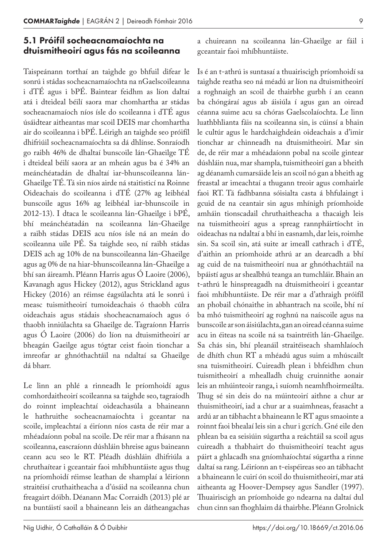#### 5.1 Próifíl socheacnamaíochta na dtuismitheoirí agus fás na scoileanna

Taispeánann torthaí an taighde go bhfuil difear le sonrú i stádas socheacnamaíochta na nGaelscoileanna i dTÉ agus i bPÉ. Baintear feidhm as líon daltaí atá i dteideal béilí saora mar chomhartha ar stádas socheacnamaíoch níos ísle do scoileanna i dTÉ agus úsáidtear aitheantas mar scoil DEIS mar chomhartha air do scoileanna i bPÉ. Léirigh an taighde seo próifíl dhifriúil socheacnamaíochta sa dá dhlínse. Sonraíodh go raibh 46% de dhaltaí bunscoile lán-Ghaeilge TÉ i dteideal béilí saora ar an mheán agus ba é 34% an meánchéatadán de dhaltaí iar-bhunscoileanna lán-Ghaeilge TÉ. Tá sin níos airde ná staitisticí na Roinne Oideachais do scoileanna i dTÉ (27% ag leibhéal bunscoile agus 16% ag leibhéal iar-bhunscoile in 2012-13). I dtaca le scoileanna lán-Ghaeilge i bPÉ, bhí meánchéatadán na scoileanna lán-Ghaeilge a raibh stádas DEIS acu níos ísle ná an meán do scoileanna uile PÉ. Sa taighde seo, ní raibh stádas DEIS ach ag 10% de na bunscoileanna lán-Ghaeilge agus ag 0% de na hiar-bhunscoileanna lán-Ghaeilge a bhí san áireamh. Pléann Harris agus Ó Laoire (2006), Kavanagh agus Hickey (2012), agus Strickland agus Hickey (2016) an réimse éagsúlachta atá le sonrú i measc tuismitheoirí tumoideachais ó thaobh cúlra oideachais agus stádais shocheacnamaíoch agus ó thaobh inniúlachta sa Ghaeilge de. Tagraíonn Harris agus Ó Laoire (2006) do líon na dtuismitheoirí ar bheagán Gaeilge agus tógtar ceist faoin tionchar a imreofar ar ghnóthachtáil na ndaltaí sa Ghaeilge dá bharr.

Le linn an phlé a rinneadh le príomhoidí agus comhordaitheoirí scoileanna sa taighde seo, tagraíodh do roinnt impleachtaí oideachasúla a bhaineann le hathruithe socheacnamaíochta i gceantar na scoile, impleachtaí a éiríonn níos casta de réir mar a mhéadaíonn pobal na scoile. De réir mar a fhásann na scoileanna, eascraíonn dúshláin bhreise agus baineann ceann acu seo le RT. Pléadh dúshláin dhifriúla a chruthaítear i gceantair faoi mhíbhuntáiste agus thug na príomhoidí réimse leathan de shamplaí a léiríonn straitéisí cruthaitheacha a d'úsáid na scoileanna chun freagairt dóibh. Déanann Mac Corraidh (2013) plé ar na buntáistí saoil a bhaineann leis an dátheangachas

a chuireann na scoileanna lán-Ghaeilge ar fáil i gceantair faoi mhíbhuntáiste.

Is é an t-athrú is suntasaí a thuairiscigh príomhoidí sa taighde reatha seo ná méadú ar líon na dtuismitheoirí a roghnaigh an scoil de thairbhe gurbh í an ceann ba chóngáraí agus ab áisiúla í agus gan an oiread céanna suime acu sa chóras Gaelscolaíochta. Le linn luathbhlianta fáis na scoileanna sin, is cúinsí a bhain le cultúr agus le hardchaighdeán oideachais a d'imir tionchar ar chinneadh na dtuismitheoirí. Mar sin de, de réir mar a mhéadaíonn pobal na scoile gintear dúshláin nua, mar shampla, tuismitheoirí gan a bheith ag déanamh cumarsáide leis an scoil nó gan a bheith ag freastal ar imeachtaí a thugann treoir agus comhairle faoi RT. Tá fadhbanna sóisialta casta á bhfulaingt i gcuid de na ceantair sin agus mhínigh príomhoide amháin tionscadail chruthaitheacha a thacaigh leis na tuismitheoirí agus a spreag rannpháirtíocht in oideachas na ndaltaí a bhí in easnamh, dar leis, roimhe sin. Sa scoil sin, atá suite ar imeall cathrach i dTÉ, d'aithin an príomhoide athrú ar an dearcadh a bhí ag cuid de na tuismitheoirí nua ar ghnóthachtáil na bpáistí agus ar shealbhú teanga an tumchláir. Bhain an t-athrú le hinspreagadh na dtuismitheoirí i gceantar faoi mhíbhuntáiste. De réir mar a d'athraigh próifíl an phobail chónaithe in abhantrach na scoile, bhí ní ba mhó tuismitheoirí ag roghnú na naíscoile agus na bunscoile ar son áisiúlachta, gan an oiread céanna suime acu in éiteas na scoile ná sa tsaintréith lán-Ghaeilge. Sa chás sin, bhí pleanáil straitéiseach shamhlaíoch de dhíth chun RT a mhéadú agus suim a mhúscailt sna tuismitheoirí. Cuireadh plean i bhfeidhm chun tuismitheoirí a mhealladh chuig cruinnithe aonair leis an mhúinteoir ranga, i suíomh neamhfhoirmeálta. Thug sé sin deis do na múinteoirí aithne a chur ar thuismitheoirí, iad a chur ar a suaimhneas, feasacht a ardú ar an tábhacht a bhaineann le RT agus smaointe a roinnt faoi bhealaí leis sin a chur i gcrích. Gné eile den phlean ba ea seisiúin súgartha a reáchtáil sa scoil agus cuireadh a thabhairt do thuismitheoirí teacht agus páirt a ghlacadh sna gníomhaíochtaí súgartha a rinne daltaí sa rang. Léiríonn an t-eispéireas seo an tábhacht a bhaineann le cuirí ón scoil do thuismitheoirí, mar atá aitheanta ag Hoover-Dempsey agus Sandler (1997). Thuairiscigh an príomhoide go ndearna na daltaí dul chun cinn san fhoghlaim dá thairbhe. Pléann Grolnick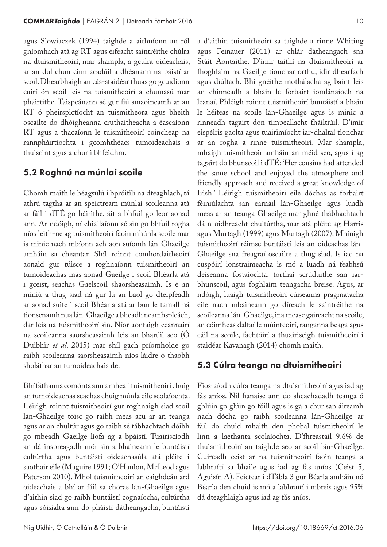agus Slowiaczek (1994) taighde a aithníonn an ról gníomhach atá ag RT agus éifeacht saintréithe chúlra na dtuismitheoirí, mar shampla, a gcúlra oideachais, ar an dul chun cinn acadúil a dhéanann na páistí ar scoil. Dhearbhaigh an cás-staidéar thuas go gcuidíonn cuirí ón scoil leis na tuismitheoirí a chumasú mar pháirtithe. Taispeánann sé gur fiú smaoineamh ar an RT ó pheirspictíocht an tuismitheora agus bheith oscailte do dhóigheanna cruthaitheacha a éascaíonn RT agus a thacaíonn le tuismitheoirí coincheap na rannpháirtíochta i gcomhthéacs tumoideachais a thuiscint agus a chur i bhfeidhm.

# 5.2 Roghnú na múnlaí scoile

Chomh maith le héagsúlú i bpróifílí na dteaghlach, tá athrú tagtha ar an speictream múnlaí scoileanna atá ar fáil i dTÉ go háirithe, áit a bhfuil go leor aonad ann. Ar ndóigh, ní chiallaíonn sé sin go bhfuil rogha níos leith-ne ag tuismitheoirí faoin mhúnla scoile mar is minic nach mbíonn ach aon suíomh lán-Ghaeilge amháin sa cheantar. Shíl roinnt comhordaitheoirí aonaid gur túisce a roghnaíonn tuismitheoirí an tumoideachas más aonad Gaeilge i scoil Bhéarla atá i gceist, seachas Gaelscoil shaorsheasaimh. Is é an míniú a thug siad ná gur lú an baol go dteipfeadh ar aonad suite i scoil Bhéarla atá ar bun le tamall ná tionscnamh nua lán-Ghaeilge a bheadh neamhspleách, dar leis na tuismitheoirí sin. Níor aontaigh ceannairí na scoileanna saorsheasaimh leis an bharúil seo (Ó Duibhir *et al*. 2015) mar shíl gach príomhoide go raibh scoileanna saorsheasaimh níos láidre ó thaobh sholáthar an tumoideachais de.

Bhí fáthanna comónta ann a mheall tuismitheoirí chuig an tumoideachas seachas chuig múnla eile scolaíochta. Léirigh roinnt tuismitheoirí gur roghnaigh siad scoil lán-Ghaeilge toisc go raibh meas acu ar an teanga agus ar an chultúr agus go raibh sé tábhachtach dóibh go mbeadh Gaeilge líofa ag a bpáistí. Tuairiscíodh an dá inspreagadh mór sin a bhaineann le buntáistí cultúrtha agus buntáistí oideachasúla atá pléite i saothair eile (Maguire 1991; O'Hanlon, McLeod agus Paterson 2010). Mhol tuismitheoirí an caighdeán ard oideachais a bhí ar fáil sa chóras lán-Ghaeilge agus d'aithin siad go raibh buntáistí cognaíocha, cultúrtha agus sóisialta ann do pháistí dátheangacha, buntáistí

a d'aithin tuismitheoirí sa taighde a rinne Whiting agus Feinauer (2011) ar chlár dátheangach sna Stáit Aontaithe. D'imir taithí na dtuismitheoirí ar fhoghlaim na Gaeilge tionchar orthu, idir dhearfach agus diúltach. Bhí gnéithe mothálacha ag baint leis an chinneadh a bhain le forbairt iomlánaíoch na leanaí. Phléigh roinnt tuismitheoirí buntáistí a bhain le héiteas na scoile lán-Ghaeilge agus is minic a rinneadh tagairt don timpeallacht fháiltiúil. D'imir eispéiris gaolta agus tuairimíocht iar-dhaltaí tionchar ar an rogha a rinne tuismitheoirí. Mar shampla, mhaígh tuismitheoir amháin an méid seo, agus í ag tagairt do bhunscoil i dTÉ: 'Her cousins had attended the same school and enjoyed the atmosphere and friendly approach and received a great knowledge of Irish.' Léirigh tuismitheoirí eile dóchas as forbairt féiniúlachta san earnáil lán-Ghaeilge agus luadh meas ar an teanga Ghaeilge mar ghné thábhachtach dá n-oidhreacht chultúrtha, mar atá pléite ag Harris agus Murtagh (1999) agus Murtagh (2007). Mhínigh tuismitheoirí réimse buntáistí leis an oideachas lán-Ghaeilge sna freagraí oscailte a thug siad. Is iad na cuspóirí ionstraimeacha is mó a luadh ná feabhsú deiseanna fostaíochta, torthaí scrúduithe san iarbhunscoil, agus foghlaim teangacha breise. Agus, ar ndóigh, luaigh tuismitheoirí cúiseanna pragmatacha eile nach mbaineann go díreach le saintréithe na scoileanna lán-Ghaeilge, ina measc gaireacht na scoile, an cóimheas daltaí le múinteoirí, ranganna beaga agus cáil na scoile, fachtóirí a thuairiscigh tuismitheoirí i staidéar Kavanagh (2014) chomh maith.

# 5.3 Cúlra teanga na dtuismitheoirí

Fiosraíodh cúlra teanga na dtuismitheoirí agus iad ag fás aníos. Níl fianaise ann do sheachadadh teanga ó ghlúin go glúin go fóill agus is gá a chur san áireamh nach dócha go raibh scoileanna lán-Ghaeilge ar fáil do chuid mhaith den phobal tuismitheoirí le linn a laethanta scolaíochta. D'fhreastail 9.6% de thuismitheoirí an taighde seo ar scoil lán-Ghaeilge. Cuireadh ceist ar na tuismitheoirí faoin teanga a labhraítí sa bhaile agus iad ag fás aníos (Ceist 5, Aguisín A). Feictear i dTábla 3 gur Béarla amháin nó Béarla den chuid is mó a labhraítí i mbreis agus 95% dá dteaghlaigh agus iad ag fás aníos.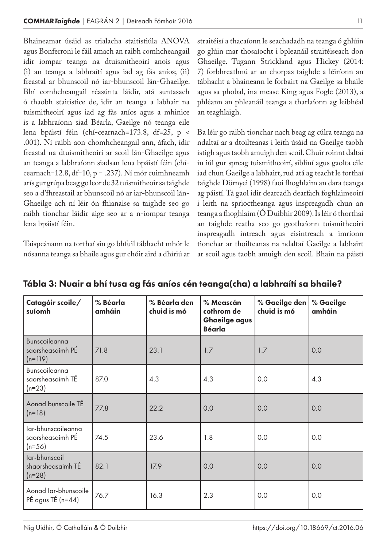Bhaineamar úsáid as trialacha staitistiúla ANOVA agus Bonferroni le fáil amach an raibh comhcheangail idir iompar teanga na dtuismitheoirí anois agus (i) an teanga a labhraítí agus iad ag fás aníos; (ii) freastal ar bhunscoil nó iar-bhunscoil lán-Ghaeilge. Bhí comhcheangail réasúnta láidir, atá suntasach ó thaobh staitistice de, idir an teanga a labhair na tuismitheoirí agus iad ag fás aníos agus a mhinice is a labhraíonn siad Béarla, Gaeilge nó teanga eile lena bpáistí féin (chí-cearnach=173.8, df=25, p < .001). Ní raibh aon chomhcheangail ann, áfach, idir freastal na dtuismitheoirí ar scoil lán-Ghaeilge agus an teanga a labhraíonn siadsan lena bpáistí féin (chícearnach=12.8, df=10, p = .237). Ní mór cuimhneamh arís gur grúpa beag go leor de 32 tuismitheoir sa taighde seo a d'fhreastail ar bhunscoil nó ar iar-bhunscoil lán-Ghaeilge ach ní léir ón fhianaise sa taighde seo go raibh tionchar láidir aige seo ar a n-iompar teanga lena bpáistí féin.

Taispeánann na torthaí sin go bhfuil tábhacht mhór le nósanna teanga sa bhaile agus gur chóir aird a dhíriú ar straitéisí a thacaíonn le seachadadh na teanga ó ghlúin go glúin mar thosaíocht i bpleanáil straitéiseach don Ghaeilge. Tugann Strickland agus Hickey (2014: 7) forbhreathnú ar an chorpas taighde a léiríonn an tábhacht a bhaineann le forbairt na Gaeilge sa bhaile agus sa phobal, ina measc King agus Fogle (2013), a phléann an phleanáil teanga a tharlaíonn ag leibhéal an teaghlaigh.

Ba léir go raibh tionchar nach beag ag cúlra teanga na ndaltaí ar a dtoilteanas i leith úsáid na Gaeilge taobh istigh agus taobh amuigh den scoil. Chuir roinnt daltaí in iúl gur spreag tuismitheoirí, siblíní agus gaolta eile iad chun Gaeilge a labhairt, rud atá ag teacht le torthaí taighde Dörnyei (1998) faoi fhoghlaim an dara teanga ag páistí. Tá gaol idir dearcadh dearfach foghlaimeoirí i leith na sprioctheanga agus inspreagadh chun an teanga a fhoghlaim (Ó Duibhir 2009). Is léir ó thorthaí an taighde reatha seo go gcothaíonn tuismitheoirí inspreagadh intreach agus eisintreach a imríonn tionchar ar thoilteanas na ndaltaí Gaeilge a labhairt ar scoil agus taobh amuigh den scoil. Bhain na páistí

| Catagóir scoile/<br>suíomh                         | % Béarla<br>amháin | % Béarla den<br>chuid is mó | % Meascán<br>cothrom de<br><b>Ghaeilge agus</b><br><b>Béarla</b> | % Gaeilge den $ $<br>chuid is mó | % Gaeilge<br>amháin |
|----------------------------------------------------|--------------------|-----------------------------|------------------------------------------------------------------|----------------------------------|---------------------|
| Bunscoileanna<br>saorsheasaimh PÉ<br>$(n=119)$     | 71.8               | 23.1                        | 1.7                                                              | 1.7                              | 0.0                 |
| Bunscoileanna<br>saorsheasaimh TÉ<br>$(n=23)$      | 87.0               | 4.3                         | 4.3                                                              | 0.0                              | 4.3                 |
| Aonad bunscoile TÉ<br>$(n=18)$                     | 77.8               | 22.2                        | 0.0                                                              | 0.0                              | 0.0                 |
| lar-bhunscoileanna<br>saorsheasaimh PÉ<br>$(n=56)$ | 74.5               | 23.6                        | 1.8                                                              | 0.0                              | 0.0                 |
| lar-bhunscoil<br>shaorsheasaimh TÉ<br>$(n=28)$     | 82.1               | 17.9                        | 0.0                                                              | 0.0                              | 0.0                 |
| Aonad Iar-bhunscoile<br>PÉ agus TÉ (n=44)          | 76.7               | 16.3                        | 2.3                                                              | 0.0                              | 0.0                 |

Tábla 3: Nuair a bhí tusa ag fás aníos cén teanga(cha) a labhraítí sa bhaile?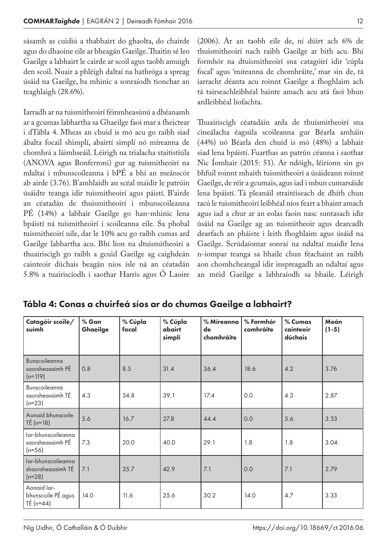sásamh as cuidiú a thabhairt do ghaolta, do chairde agus do dhaoine eile ar bheagán Gaeilge. Thaitin sé leo Gaeilge a labhairt le cairde ar scoil agus taobh amuigh den scoil. Nuair a phléigh daltaí na hathróga a spreag úsáid na Gaeilge, ba mhinic a sonraíodh tionchar an teaghlaigh (28.6%).

Iarradh ar na tuismitheoirí féinmheasúnú a dhéanamh ar a gcumas labhartha sa Ghaeilge faoi mar a fheictear i dTábla 4. Mheas an chuid is mó acu go raibh siad ábalta focail shimplí, abairtí simplí nó míreanna de chomhrá a láimhseáil. Léirigh na trialacha staitistiúla (ANOVA agus Bonferroni) gur ag tuismitheoirí na ndaltaí i mbunscoileanna i bPÉ a bhí an meánscór ab airde (3.76). B'amhlaidh an scéal maidir le patrúin úsáidte teanga idir tuismitheoirí agus páistí. B'airde an céatadán de thuismitheoirí i mbunscoileanna PÉ (14%) a labhair Gaeilge go han-mhinic lena bpáistí ná tuismitheoirí i scoileanna eile. Sa phobal tuismitheoirí uile, dar le 10% acu go raibh cumas ard Gaeilge labhartha acu. Bhí líon na dtuismitheoirí a thuairiscigh go raibh a gcuid Gaeilge ag caighdeán cainteoir dúchais beagán níos ísle ná an céatadán 5.8% a tuairiscíodh i saothar Harris agus Ó Laoire (2006). Ar an taobh eile de, ní dúirt ach 6% de thuismitheoirí nach raibh Gaeilge ar bith acu. Bhí formhór na dtuismitheoirí sna catagóirí idir 'cúpla focal' agus 'míreanna de chomhráite,' mar sin de, tá iarracht déanta acu roinnt Gaeilge a fhoghlaim ach tá tairseachleibhéal bainte amach acu atá faoi bhun ardleibhéal líofachta.

Thuairiscigh céatadáin arda de thuismitheoirí sna cineálacha éagsúla scoileanna gur Béarla amháin (44%) nó Béarla den chuid is mó (48%) a labhair siad lena bpáistí. Fuarthas an patrún céanna i saothar Nic Íomhair (2015: 51). Ar ndóigh, léiríonn sin go bhfuil roinnt mhaith tuismitheoirí a úsáideann roinnt Gaeilge, de réir a gcumais, agus iad i mbun cumarsáide lena bpáistí. Tá pleanáil straitéiseach de dhíth chun tacú le tuismitheoirí leibhéal níos fearr a bhaint amach agus iad a chur ar an eolas faoin nasc suntasach idir úsáid na Gaeilge ag an tuismitheoir agus dearcadh dearfach an pháiste i leith fhoghlaim agus úsáid na Gaeilge. Scrúdaíomar sonraí na ndaltaí maidir lena n-iompar teanga sa bhaile chun féachaint an raibh aon chomhcheangal idir inspreagadh an ndaltaí agus an méid Gaeilge a labhraíodh sa bhaile. Léirigh

| Catagóir scoile/<br>suímh                           | % Gan<br>Ghaeilge | % Cúpla<br>focal | % Cúpla<br>abairt<br>simplí | % Míreanna<br>de<br>chomhráite | % Formhór<br>comhráite | % Cumas<br>cainteoir<br>dúchais | Meán<br>$(1-5)$ |
|-----------------------------------------------------|-------------------|------------------|-----------------------------|--------------------------------|------------------------|---------------------------------|-----------------|
| Bunscoileanna<br>saorsheasaimh PÉ<br>$(n=119)$      | 0.8               | 8.5              | 31.4                        | 36.4                           | 18.6                   | 4.2                             | 3.76            |
| Bunscoileanna<br>saorsheasaimh TÉ<br>$(n=23)$       | 4.3               | 34.8             | 39.1                        | 17.4                           | 0.0                    | 4.3                             | 2.87            |
| Aonaid bhunscoile<br>$T\acute{E}$ (n=18)            | 5.6               | 16.7             | 27.8                        | 44.4                           | 0.0                    | 5.6                             | 3.33            |
| lar-bhunscoileanna<br>saorsheasaimh PÉ<br>$(n=56)$  | 7.3               | 20.0             | 40.0                        | 29.1                           | 1.8                    | 1.8                             | 3.04            |
| lar-bhunscoileanna<br>shaorsheasaimh TÉ<br>$(n=28)$ | 7.1               | 35.7             | 42.9                        | 7.1                            | 0.0                    | 7.1                             | 2.79            |
| Aonaid lar-<br>bhunscoile PÉ agus<br>TÉ $(n=44)$    | 14.0              | 11.6             | 25.6                        | 30.2                           | 14.0                   | 4.7                             | 3.33            |

Tábla 4: Conas a chuirfeá síos ar do chumas Gaeilge a labhairt?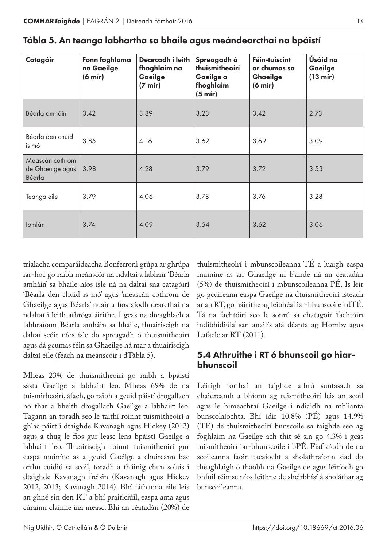| Catagóir                                      | Fonn foghlama<br>na Gaeilge<br>(6 m/r) | Dearcadh i leith<br>fhoghlaim na<br>Gaeilge<br>$(7 \text{ mir})$ | Spreagadh ó<br>thuismitheoirí<br>Gaeilge a<br>fhoghlaim<br>$(5 \text{ mir})$ | Féin-tuiscint<br>ar chumas sa<br><b>Ghaeilge</b><br>(6 m/r) | Úsáid na<br>Gaeilge<br>(13 m/r) |
|-----------------------------------------------|----------------------------------------|------------------------------------------------------------------|------------------------------------------------------------------------------|-------------------------------------------------------------|---------------------------------|
| Béarla amháin                                 | 3.42                                   | 3.89                                                             | 3.23                                                                         | 3.42                                                        | 2.73                            |
| Béarla den chuid<br>is mó                     | 3.85                                   | 4.16                                                             | 3.62                                                                         | 3.69                                                        | 3.09                            |
| Meascán cothrom<br>de Ghaeilge agus<br>Béarla | 3.98                                   | 4.28                                                             | 3.79                                                                         | 3.72                                                        | 3.53                            |
| Teanga eile                                   | 3.79                                   | 4.06                                                             | 3.78                                                                         | 3.76                                                        | 3.28                            |
| Iomlán                                        | 3.74                                   | 4.09                                                             | 3.54                                                                         | 3.62                                                        | 3.06                            |

| Tábla 5. An teanga labhartha sa bhaile agus meándearcthaí na bpáistí |  |  |  |  |
|----------------------------------------------------------------------|--|--|--|--|
|----------------------------------------------------------------------|--|--|--|--|

trialacha comparáideacha Bonferroni grúpa ar ghrúpa iar-hoc go raibh meánscór na ndaltaí a labhair 'Béarla amháin' sa bhaile níos ísle ná na daltaí sna catagóirí 'Béarla den chuid is mó' agus 'meascán cothrom de Ghaeilge agus Béarla' nuair a fiosraíodh dearcthaí na ndaltaí i leith athróga áirithe. I gcás na dteaghlach a labhraíonn Béarla amháin sa bhaile, thuairiscigh na daltaí scóir níos ísle do spreagadh ó thuismitheoirí agus dá gcumas féin sa Ghaeilge ná mar a thuairiscigh daltaí eile (féach na meánscóir i dTábla 5).

Mheas 23% de thuismitheoirí go raibh a bpáistí sásta Gaeilge a labhairt leo. Mheas 69% de na tuismitheoirí, áfach, go raibh a gcuid páistí drogallach nó thar a bheith drogallach Gaeilge a labhairt leo. Tagann an toradh seo le taithí roinnt tuismitheoirí a ghlac páirt i dtaighde Kavanagh agus Hickey (2012) agus a thug le fios gur leasc lena bpáistí Gaeilge a labhairt leo. Thuairiscigh roinnt tuismitheoirí gur easpa muiníne as a gcuid Gaeilge a chuireann bac orthu cuidiú sa scoil, toradh a tháinig chun solais i dtaighde Kavanagh freisin (Kavanagh agus Hickey 2012, 2013; Kavanagh 2014). Bhí fáthanna eile leis an ghné sin den RT a bhí praiticiúil, easpa ama agus cúraimí clainne ina measc. Bhí an céatadán (20%) de

thuismitheoirí i mbunscoileanna TÉ a luaigh easpa muiníne as an Ghaeilge ní b'airde ná an céatadán (5%) de thuismitheoirí i mbunscoileanna PÉ. Is léir go gcuireann easpa Gaeilge na dtuismitheoirí isteach ar an RT, go háirithe ag leibhéal iar-bhunscoile i dTÉ. Tá na fachtóirí seo le sonrú sa chatagóir 'fachtóirí indibhidiúla' san anailís atá déanta ag Hornby agus Lafaele ar RT (2011).

# 5.4 Athruithe i RT ó bhunscoil go hiarbhunscoil

Léirigh torthaí an taighde athrú suntasach sa chaidreamh a bhíonn ag tuismitheoirí leis an scoil agus le himeachtaí Gaeilge i ndiaidh na mblianta bunscolaíochta. Bhí idir 10.8% (PÉ) agus 14.9% (TÉ) de thuismitheoirí bunscoile sa taighde seo ag foghlaim na Gaeilge ach thit sé sin go 4.3% i gcás tuismitheoirí iar-bhunscoile i bPÉ. Fiafraíodh de na scoileanna faoin tacaíocht a sholáthraíonn siad do theaghlaigh ó thaobh na Gaeilge de agus léiríodh go bhfuil réimse níos leithne de sheirbhísí á sholáthar ag bunscoileanna.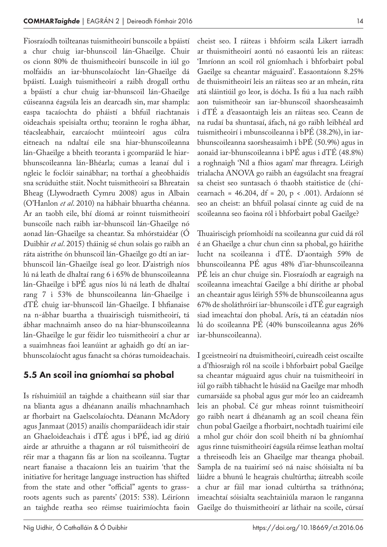Fiosraíodh toilteanas tuismitheoirí bunscoile a bpáistí a chur chuig iar-bhunscoil lán-Ghaeilge. Chuir os cionn 80% de thuismitheoirí bunscoile in iúl go molfaidís an iar-bhunscolaíocht lán-Ghaeilge dá bpáistí. Luaigh tuismitheoirí a raibh drogall orthu a bpáistí a chur chuig iar-bhunscoil lán-Ghaeilge cúiseanna éagsúla leis an dearcadh sin, mar shampla: easpa tacaíochta do pháistí a bhfuil riachtanais oideachais speisialta orthu; teorainn le rogha ábhar, téacsleabhair, earcaíocht múinteoirí agus cúlra eitneach na ndaltaí eile sna hiar-bhunscoileanna lán-Ghaeilge a bheith teoranta i gcomparáid le hiarbhunscoileanna lán-Bhéarla; cumas a leanaí dul i ngleic le foclóir sainábhar; na torthaí a gheobhaidís sna scrúduithe stáit. Nocht tuismitheoirí sa Bhreatain Bheag (Llywodraeth Cymru 2008) agus in Albain (O'Hanlon *et al*. 2010) na hábhair bhuartha chéanna. Ar an taobh eile, bhí díomá ar roinnt tuismitheoirí bunscoile nach raibh iar-bhunscoil lán-Ghaeilge nó aonad lán-Ghaeilge sa cheantar. Sa mhórstaidéar (Ó Duibhir *et al*. 2015) tháinig sé chun solais go raibh an ráta aistrithe ón bhunscoil lán-Ghaeilge go dtí an iarbhunscoil lán-Ghaeilge íseal go leor. D'aistrigh níos lú ná leath de dhaltaí rang 6 i 65% de bhunscoileanna lán-Ghaeilge i bPÉ agus níos lú ná leath de dhaltaí rang 7 i 53% de bhunscoileanna lán-Ghaeilge i dTÉ chuig iar-bhunscoil lán-Ghaeilge. I bhfianaise na n-ábhar buartha a thuairiscigh tuismitheoirí, tá ábhar machnaimh anseo do na hiar-bhunscoileanna lán-Ghaeilge le gur féidir leo tuismitheoirí a chur ar a suaimhneas faoi leanúint ar aghaidh go dtí an iarbhunscolaíocht agus fanacht sa chóras tumoideachais.

# 5.5 An scoil ina gníomhaí sa phobal

Is ríshuimiúil an taighde a chaitheann súil siar thar na blianta agus a dhéanann anailís mhachnamhach ar fhorbairt na Gaelscolaíochta. Déanann McAdory agus Janmaat (2015) anailís chomparáideach idir stair an Ghaeloideachais i dTÉ agus i bPÉ, iad ag díriú airde ar athruithe a thagann ar ról tuismitheoirí de réir mar a thagann fás ar líon na scoileanna. Tugtar neart fianaise a thacaíonn leis an tuairim 'that the initiative for heritage language instruction has shifted from the state and other "official" agents to grassroots agents such as parents' (2015: 538). Léiríonn an taighde reatha seo réimse tuairimíochta faoin

cheist seo. I ráiteas i bhfoirm scála Likert iarradh ar thuismitheoirí aontú nó easaontú leis an ráiteas: 'Imríonn an scoil ról gníomhach i bhforbairt pobal Gaeilge sa cheantar máguaird'. Easaontaíonn 8.25% de thuismitheoirí leis an ráiteas seo ar an mheán, ráta atá sláintiúil go leor, is dócha. Is fiú a lua nach raibh aon tuismitheoir san iar-bhunscoil shaorsheasaimh i dTÉ a d'easaontaigh leis an ráiteas seo. Ceann de na rudaí ba shuntasaí, áfach, ná go raibh leibhéal ard tuismitheoirí i mbunscoileanna i bPÉ (38.2%), in iarbhunscoileanna saorsheasaimh i bPÉ (50.9%) agus in aonaid iar-bhunscoileanna i bPÉ agus i dTÉ (48.8%) a roghnaigh 'Níl a fhios agam' mar fhreagra. Léirigh trialacha ANOVA go raibh an éagsúlacht sna freagraí sa cheist seo suntasach ó thaobh staitistice de (chícearnach = 46.204, df = 20, p < .001). Ardaíonn sé seo an cheist: an bhfuil polasaí cinnte ag cuid de na scoileanna seo faoina ról i bhforbairt pobal Gaeilge?

Thuairiscigh príomhoidí na scoileanna gur cuid dá ról é an Ghaeilge a chur chun cinn sa phobal, go háirithe lucht na scoileanna i dTÉ. D'aontaigh 59% de bhunscoileanna PÉ agus 48% d'iar-bhunscoileanna PÉ leis an chur chuige sin. Fiosraíodh ar eagraigh na scoileanna imeachtaí Gaeilge a bhí dírithe ar phobal an cheantair agus léirigh 55% de bhunscoileanna agus 67% de sholáthróirí iar-bhunscoile i dTÉ gur eagraigh siad imeachtaí don phobal. Arís, tá an céatadán níos lú do scoileanna PÉ (40% bunscoileanna agus 26% iar-bhunscoileanna).

I gceistneoirí na dtuismitheoirí, cuireadh ceist oscailte a d'fhiosraigh ról na scoile i bhforbairt pobal Gaeilge sa cheantar máguaird agus chuir na tuismitheoirí in iúl go raibh tábhacht le húsáid na Gaeilge mar mhodh cumarsáide sa phobal agus gur mór leo an caidreamh leis an phobal. Cé gur mheas roinnt tuismitheoirí go raibh neart á dhéanamh ag an scoil cheana féin chun pobal Gaeilge a fhorbairt, nochtadh tuairimí eile a mhol gur chóir don scoil bheith ní ba ghníomhaí agus rinne tuismitheoirí éagsúla réimse leathan moltaí a threiseodh leis an Ghaeilge mar theanga phobail. Sampla de na tuairimí seó ná naisc shóisialta ní ba láidre a bhunú le heagrais chultúrtha; áitreabh scoile a chur ar fáil mar ionad cultúrtha sa tráthnóna; imeachtaí sóisialta seachtainiúla maraon le ranganna Gaeilge do thuismitheoirí ar láthair na scoile, cúrsaí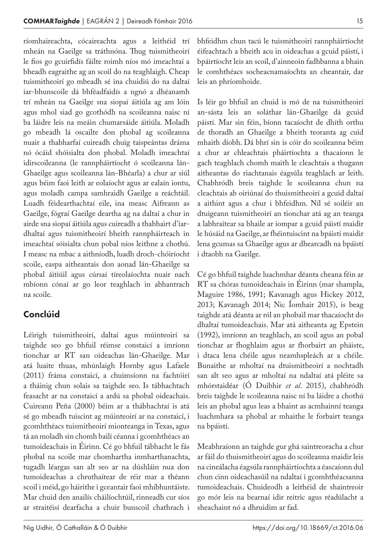ríomhaireachta, cócaireachta agus a leithéid trí mheán na Gaeilge sa tráthnóna. Thug tuismitheoirí le fios go gcuirfidís fáilte roimh níos mó imeachtaí a bheadh eagraithe ag an scoil do na teaghlaigh. Cheap tuismitheoirí go mbeadh sé ina chuidiú do na daltaí iar-bhunscoile dá bhféadfaidís a ngnó a dhéanamh trí mheán na Gaeilge sna siopaí áitiúla ag am lóin agus mhol siad go gcothódh na scoileanna naisc ní ba láidre leis na meáin chumarsáide áitiúla. Moladh go mbeadh lá oscailte don phobal ag scoileanna nuair a thabharfaí cuireadh chuig taispeántas dráma nó ócáid shóisialta don phobal. Moladh imeachtaí idirscoileanna (le rannpháirtíocht ó scoileanna lán-Ghaeilge agus scoileanna lán-Bhéarla) a chur ar siúl agus béim faoi leith ar eolaíocht agus ar ealaín iontu, agus moladh campa samhraidh Gaeilge a reáchtáil. Luadh féidearthachtaí eile, ina measc Aifreann as Gaeilge, fógraí Gaeilge deartha ag na daltaí a chur in airde sna siopaí áitiúla agus cuireadh a thabhairt d'iardhaltaí agus tuismitheoirí bheith rannpháirteach in imeachtaí sóisialta chun pobal níos leithne a chothú. I measc na mbac a aithníodh, luadh droch-chóiríocht scoile, easpa aitheantais don aonad lán-Ghaeilge sa phobal áitiúil agus cúrsaí tíreolaíochta nuair nach mbíonn cónaí ar go leor teaghlach in abhantrach na scoile.

# Conclúid

Léirigh tuismitheoirí, daltaí agus múinteoirí sa taighde seo go bhfuil réimse constaicí a imríonn tionchar ar RT san oideachas lán-Ghaeilge. Mar atá luaite thuas, mhúnlaigh Hornby agus Lafaele (2011) fráma constaicí, a chuimsíonn na fachtóirí a tháinig chun solais sa taighde seo. Is tábhachtach feasacht ar na constaicí a ardú sa phobal oideachais. Cuireann Peña (2000) béim ar a thábhachtaí is atá sé go mbeadh tuiscint ag múinteoirí ar na constaicí, i gcomhthéacs tuismitheoirí mionteanga in Texas, agus tá an moladh sin chomh bailí céanna i gcomhthéacs an tumoideachais in Éirinn. Cé go bhfuil tábhacht le fás phobal na scoile mar chomhartha inmharthanachta, tugadh léargas san alt seo ar na dúshláin nua don tumoideachas a chruthaítear de réir mar a théann scoil i méid, go háirithe i gceantair faoi mhíbhuntáiste. Mar chuid den anailís cháilíochtúil, rinneadh cur síos ar straitéisí dearfacha a chuir bunscoil chathrach i

bhfeidhm chun tacú le tuismitheoirí rannpháirtíocht éifeachtach a bheith acu in oideachas a gcuid páistí, i bpáirtíocht leis an scoil, d'ainneoin fadhbanna a bhain le comhthéacs socheacnamaíochta an cheantair, dar leis an phríomhoide.

Is léir go bhfuil an chuid is mó de na tuismitheoirí an-sásta leis an soláthar lán-Ghaeilge dá gcuid páistí. Mar sin féin, bíonn tacaíocht de dhíth orthu de thoradh an Ghaeilge a bheith teoranta ag cuid mhaith díobh. Dá bhrí sin is cóir do scoileanna béim a chur ar chleachtais pháirtíochta a thacaíonn le gach teaghlach chomh maith le cleachtais a thugann aitheantas do riachtanais éagsúla teaghlach ar leith. Chabhródh breis taighde le scoileanna chun na cleachtais ab oiriúnaí do thuismitheoirí a gcuid daltaí a aithint agus a chur i bhfeidhm. Níl sé soiléir an dtuigeann tuismitheoirí an tionchar atá ag an teanga a labhraítear sa bhaile ar iompar a gcuid páistí maidir le húsáid na Gaeilge, ar fhéintuiscint na bpáistí maidir lena gcumas sa Ghaeilge agus ar dhearcadh na bpáistí i dtaobh na Gaeilge.

Cé go bhfuil taighde luachmhar déanta cheana féin ar RT sa chóras tumoideachais in Éirinn (mar shampla, Maguire 1986, 1991; Kavanagh agus Hickey 2012, 2013; Kavanagh 2014; Nic Íomhair 2015), is beag taighde atá déanta ar ról an phobail mar thacaíocht do dhaltaí tumoideachais. Mar atá aitheanta ag Epstein (1992), imríonn an teaghlach, an scoil agus an pobal tionchar ar fhoghlaim agus ar fhorbairt an pháiste, i dtaca lena chéile agus neamhspleách ar a chéile. Bunaithe ar mholtaí na dtuismitheoirí a nochtadh san alt seo agus ar mholtaí na ndaltaí atá pléite sa mhórstaidéar (Ó Duibhir *et al*. 2015), chabhródh breis taighde le scoileanna naisc ní ba láidre a chothú leis an phobal agus leas a bhaint as acmhainní teanga luachmhara sa phobal ar mhaithe le forbairt teanga na bpáistí.

Meabhraíonn an taighde gur ghá saintreoracha a chur ar fáil do thuismitheoirí agus do scoileanna maidir leis na cineálacha éagsúla rannpháirtíochta a éascaíonn dul chun cinn oideachasúil na ndaltaí i gcomhthéacsanna tumoideachais. Chuideodh a leithéid de shaintreoir go mór leis na bearnaí idir reitric agus réadúlacht a sheachaint nó a dhruidim ar fad.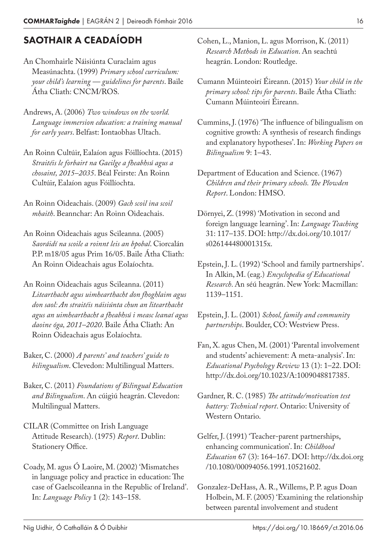# SAOTHAIR A CEADAÍODH

- An Chomhairle Náisiúnta Curaclaim agus Measúnachta. (1999) *Primary school curriculum: your child's learning — guidelines for parents*. Baile Átha Cliath: CNCM/ROS.
- Andrews, A. (2006) *Two windows on the world. Language immersion education: a training manual for early years*. Belfast: Iontaobhas Ultach.
- An Roinn Cultúir, Ealaíon agus Fóillíochta. (2015) *Straitéis le forbairt na Gaeilge a fheabhsú agus a chosaint, 2015–2035*. Béal Feirste: An Roinn Cultúir, Ealaíon agus Fóillíochta.
- An Roinn Oideachais. (2009) *Gach scoil ina scoil mhaith*. Beannchar: An Roinn Oideachais.
- An Roinn Oideachais agus Scileanna. (2005) *Saoráidí na scoile a roinnt leis an bpobal*. Ciorcalán P.P. m18/05 agus Prim 16/05. Baile Átha Cliath: An Roinn Oideachais agus Eolaíochta.
- An Roinn Oideachais agus Scileanna. (2011) *Litearthacht agus uimhearthacht don fhoghlaim agus don saol: An straitéis náisiúnta chun an litearthacht agus an uimhearthacht a fheabhsú i measc leanaí agus daoine óga, 2011–2020*. Baile Átha Cliath: An Roinn Oideachais agus Eolaíochta.
- Baker, C. (2000) *A parents' and teachers' guide to bilingualism*. Clevedon: Multilingual Matters.
- Baker, C. (2011) *Foundations of Bilingual Education and Bilingualism*. An cúigiú heagrán. Clevedon: Multilingual Matters.
- CILAR (Committee on Irish Language Attitude Research). (1975) *Report*. Dublin: Stationery Office.
- Coady, M. agus Ó Laoire, M. (2002) 'Mismatches in language policy and practice in education: The case of Gaelscoileanna in the Republic of Ireland'. In: *Language Policy* 1 (2): 143–158.
- Cohen, L., Manion, L. agus Morrison, K. (2011) *Research Methods in Education*. An seachtú heagrán. London: Routledge.
- Cumann Múinteoirí Éireann. (2015) *Your child in the primary school: tips for parents*. Baile Átha Cliath: Cumann Múinteoirí Éireann.
- Cummins, J. (1976) 'The influence of bilingualism on cognitive growth: A synthesis of research findings and explanatory hypotheses'. In: *Working Papers on Bilingualism* 9: 1–43.
- Department of Education and Science. (1967) *Children and their primary schools. The Plowden Report*. London: HMSO.
- Dörnyei, Z. (1998) 'Motivation in second and foreign language learning'. In: *Language Teaching* 31: 117–135. DOI: http://dx.doi.org/10.1017/ s026144480001315x.
- Epstein, J. L. (1992) 'School and family partnerships'. In Alkin, M. (eag.) *Encyclopedia of Educational Research*. An séú heagrán. New York: Macmillan: 1139–1151.
- Epstein, J. L. (2001) *School, family and community partnerships*. Boulder, CO: Westview Press.
- Fan, X. agus Chen, M. (2001) 'Parental involvement and students' achievement: A meta-analysis'. In: *Educational Psychology Review* 13 (1): 1–22. DOI: http://dx.doi.org/10.1023/A:1009048817385.
- Gardner, R. C. (1985) *The attitude/motivation test battery: Technical report*. Ontario: University of Western Ontario.
- Gelfer, J. (1991) 'Teacher-parent partnerships, enhancing communication'. In: *Childhood Education* 67 (3): 164–167. DOI: http://dx.doi.org /10.1080/00094056.1991.10521602.
- Gonzalez-DeHass, A. R., Willems, P. P. agus Doan Holbein, M. F. (2005) 'Examining the relationship between parental involvement and student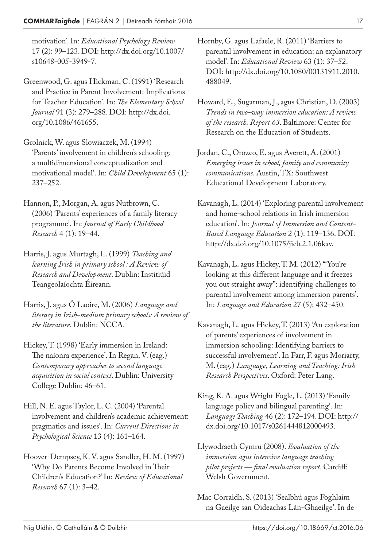motivation'. In: *Educational Psychology Review* 17 (2): 99–123. DOI: http://dx.doi.org/10.1007/ s10648-005-3949-7.

Greenwood, G. agus Hickman, C. (1991) 'Research and Practice in Parent Involvement: Implications for Teacher Education'. In: *The Elementary School Journal* 91 (3): 279–288. DOI: http://dx.doi. org/10.1086/461655.

Grolnick, W. agus Slowiaczek, M. (1994) 'Parents' involvement in children's schooling: a multidimensional conceptualization and motivational model'. In: *Child Development* 65 (1): 237–252.

Hannon, P., Morgan, A. agus Nutbrown, C. (2006) 'Parents' experiences of a family literacy programme'. In: *Journal of Early Childhood Research* 4 (1): 19–44.

Harris, J. agus Murtagh, L. (1999) *Teaching and learning Irish in primary school : A Review of Research and Development*. Dublin: Institiúid Teangeolaíochta Éireann.

Harris, J. agus Ó Laoire, M. (2006) *Language and literacy in Irish-medium primary schools: A review of the literature*. Dublin: NCCA.

Hickey, T. (1998) 'Early immersion in Ireland: The naíonra experience'. In Regan, V. (eag.) *Contemporary approaches to second language acquisition in social context*. Dublin: University College Dublin: 46–61.

Hill, N. E. agus Taylor, L. C. (2004) 'Parental involvement and children's academic achievement: pragmatics and issues'. In: *Current Directions in Psychological Science* 13 (4): 161–164.

Hoover-Dempsey, K. V. agus Sandler, H. M. (1997) 'Why Do Parents Become Involved in Their Children's Education?' In: *Review of Educational Research* 67 (1): 3–42.

Hornby, G. agus Lafaele, R. (2011) 'Barriers to parental involvement in education: an explanatory model'. In: *Educational Review* 63 (1): 37–52. DOI: http://dx.doi.org/10.1080/00131911.2010. 488049.

Howard, E., Sugarman, J., agus Christian, D. (2003) *Trends in two-way immersion education: A review of the research. Report 63*. Baltimore: Center for Research on the Education of Students.

- Jordan, C., Orozco, E. agus Averett, A. (2001) *Emerging issues in school, family and community communications*. Austin, TX: Southwest Educational Development Laboratory.
- Kavanagh, L. (2014) 'Exploring parental involvement and home-school relations in Irish immersion education'. In: *Journal of Immersion and Content-Based Language Education* 2 (1): 119–136. DOI: http://dx.doi.org/10.1075/jicb.2.1.06kav.
- Kavanagh, L. agus Hickey, T. M. (2012) '"You're looking at this different language and it freezes you out straight away": identifying challenges to parental involvement among immersion parents'. In: *Language and Education* 27 (5): 432–450.
- Kavanagh, L. agus Hickey, T. (2013) 'An exploration of parents' experiences of involvement in immersion schooling: Identifying barriers to successful involvement'. In Farr, F. agus Moriarty, M. (eag.) *Language, Learning and Teaching: Irish Research Perspectives*. Oxford: Peter Lang.
- King, K. A. agus Wright Fogle, L. (2013) 'Family language policy and bilingual parenting'. In: *Language Teaching* 46 (2): 172–194. DOI: http:// dx.doi.org/10.1017/s0261444812000493.
- Llywodraeth Cymru (2008). *Evaluation of the immersion agus intensive language teaching pilot projects — final evaluation report*. Cardiff: Welsh Government.

Mac Corraidh, S. (2013) 'Sealbhú agus Foghlaim na Gaeilge san Oideachas Lán-Ghaeilge'. In de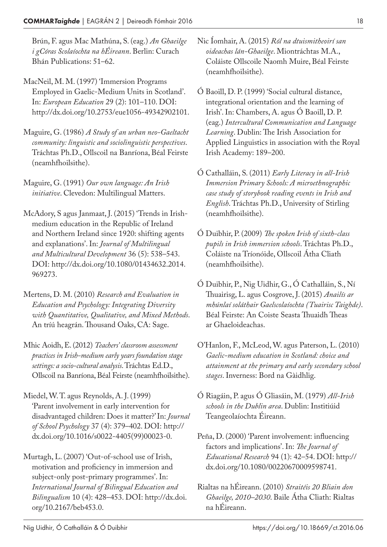Brún, F. agus Mac Mathúna, S. (eag.) *An Ghaeilge i gCóras Scolaíochta na hÉireann*. Berlin: Curach Bhán Publications: 51–62.

- MacNeil, M. M. (1997) 'Immersion Programs Employed in Gaelic-Medium Units in Scotland'. In: *European Education* 29 (2): 101–110. DOI: http://dx.doi.org/10.2753/eue1056-49342902101.
- Maguire, G. (1986) *A Study of an urban neo-Gaeltacht community: linguistic and sociolinguistic perspectives*. Tráchtas Ph.D., Ollscoil na Banríona, Béal Feirste (neamhfhoilsithe).

Maguire, G. (1991) *Our own language: An Irish initiative*. Clevedon: Multilingual Matters.

- McAdory, S agus Janmaat, J. (2015) 'Trends in Irishmedium education in the Republic of Ireland and Northern Ireland since 1920: shifting agents and explanations'. In: *Journal of Multilingual and Multicultural Development* 36 (5): 538–543. DOI: http://dx.doi.org/10.1080/01434632.2014. 969273.
- Mertens, D. M. (2010) *Research and Evaluation in Education and Psychology: Integrating Diversity with Quantitative, Qualitative, and Mixed Methods*. An tríú heagrán. Thousand Oaks, CA: Sage.
- Mhic Aoidh, E. (2012) *Teachers' classroom assessment practices in Irish-medium early years foundation stage settings: a socio-cultural analysis*. Tráchtas Ed.D., Ollscoil na Banríona, Béal Feirste (neamhfhoilsithe).
- Miedel, W. T. agus Reynolds, A. J. (1999) 'Parent involvement in early intervention for disadvantaged children: Does it matter?' In: *Journal of School Psychology* 37 (4): 379–402. DOI: http:// dx.doi.org/10.1016/s0022-4405(99)00023-0.
- Murtagh, L. (2007) 'Out-of-school use of Irish, motivation and proficiency in immersion and subject-only post-primary programmes'. In: *International Journal of Bilingual Education and Bilingualism* 10 (4): 428–453. DOI: http://dx.doi. org/10.2167/beb453.0.
- Nic Íomhair, A. (2015) *Ról na dtuismitheoirí san oideachas lán-Ghaeilge*. Miontráchtas M.A., Coláiste Ollscoile Naomh Muire, Béal Feirste (neamhfhoilsithe).
- Ó Baoill, D. P. (1999) 'Social cultural distance, integrational orientation and the learning of Irish'. In: Chambers, A. agus Ó Baoill, D. P. (eag.) *Intercultural Communication and Language Learning*. Dublin: The Irish Association for Applied Linguistics in association with the Royal Irish Academy: 189–200.
- Ó Cathalláin, S. (2011) *Early Literacy in all-Irish Immersion Primary Schools: A microethnographic case study of storybook reading events in Irish and English*. Tráchtas Ph.D., University of Stirling (neamhfhoilsithe).
- Ó Duibhir, P. (2009) *The spoken Irish of sixth-class pupils in Irish immersion schools*. Tráchtas Ph.D., Coláiste na Tríonóide, Ollscoil Átha Cliath (neamhfhoilsithe).
- Ó Duibhir, P., Nig Uidhir, G., Ó Cathalláin, S., Ní Thuairisg, L. agus Cosgrove, J. (2015) *Anailís ar mhúnlaí soláthair Gaelscolaíochta (Tuairisc Taighde)*. Béal Feirste: An Coiste Seasta Thuaidh Theas ar Ghaeloideachas.
- O'Hanlon, F., McLeod, W. agus Paterson, L. (2010) *Gaelic-medium education in Scotland: choice and attainment at the primary and early secondary school stages*. Inverness: Bord na Gàidhlig.
- Ó Riagáin, P. agus Ó Gliasáin, M. (1979) *All-Irish schools in the Dublin area*. Dublin: Institiúid Teangeolaíochta Éireann.
- Peña, D. (2000) 'Parent involvement: influencing factors and implications'. In: *The Journal of Educational Research* 94 (1): 42–54. DOI: http:// dx.doi.org/10.1080/00220670009598741.
- Rialtas na hÉireann. (2010) *Straitéis 20 Bliain don Ghaeilge, 2010–2030*. Baile Átha Cliath: Rialtas na hÉireann.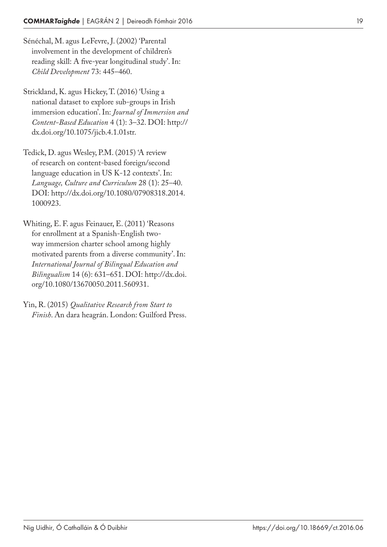- Sénéchal, M. agus LeFevre, J. (2002) 'Parental involvement in the development of children's reading skill: A five-year longitudinal study'. In: *Child Development* 73: 445–460.
- Strickland, K. agus Hickey, T. (2016) 'Using a national dataset to explore sub-groups in Irish immersion education'. In: *Journal of Immersion and Content-Based Education* 4 (1): 3–32. DOI: http:// dx.doi.org/10.1075/jicb.4.1.01str.
- Tedick, D. agus Wesley, P.M. (2015) 'A review of research on content-based foreign/second language education in US K-12 contexts'. In: *Language, Culture and Curriculum* 28 (1): 25–40. DOI: http://dx.doi.org/10.1080/07908318.2014. 1000923.
- Whiting, E. F. agus Feinauer, E. (2011) 'Reasons for enrollment at a Spanish-English twoway immersion charter school among highly motivated parents from a diverse community'. In: *International Journal of Bilingual Education and Bilingualism* 14 (6): 631–651. DOI: http://dx.doi. org/10.1080/13670050.2011.560931.
- Yin, R. (2015) *Qualitative Research from Start to Finish*. An dara heagrán. London: Guilford Press.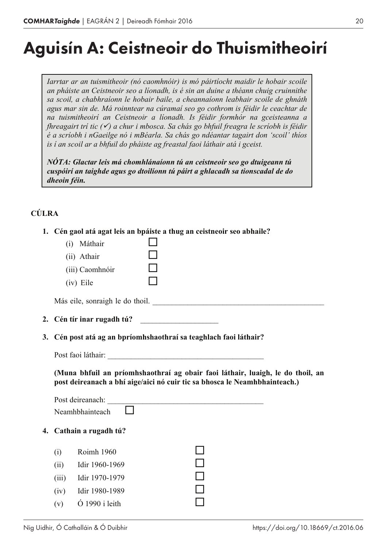# Aguisín A: Ceistneoir do Thuismitheoirí

*Iarrtar ar an tuismitheoir (nó caomhnóir) is mó páirtíocht maidir le hobair scoile an pháiste an Ceistneoir seo a líonadh, is é sin an duine a théann chuig cruinnithe sa scoil, a chabhraíonn le hobair baile, a cheannaíonn leabhair scoile de ghnáth agus mar sin de. Má roinntear na cúramaí seo go cothrom is féidir le ceachtar de na tuismitheoirí an Ceistneoir a líonadh. Is féidir formhór na gceisteanna a fhreagairt trí tic (*<sup>ü</sup>*) a chur i mbosca. Sa chás go bhfuil freagra le scríobh is féidir é a scríobh i nGaeilge nó i mBéarla. Sa chás go ndéantar tagairt don 'scoil' thíos is í an scoil ar a bhfuil do pháiste ag freastal faoi láthair atá i gceist.*

*NÓTA: Glactar leis má chomhlánaíonn tú an ceistneoir seo go dtuigeann tú cuspóirí an taighde agus go dtoilíonn tú páirt a ghlacadh sa tionscadal de do dheoin féin.*

# **CÚLRA**

|    | 1. Cén gaol atá agat leis an bpáiste a thug an ceistneoir seo abhaile?<br>(i) Máthair<br>(ii) Athair<br>(iii) Caomhnóir<br>(iv) Eile<br>Más eile, sonraigh le do thoil. |
|----|-------------------------------------------------------------------------------------------------------------------------------------------------------------------------|
|    |                                                                                                                                                                         |
| 3. | Cén post atá ag an bpríomhshaothraí sa teaghlach faoi láthair?                                                                                                          |
|    |                                                                                                                                                                         |
|    | (Muna bhfuil an príomhshaothraí ag obair faoi láthair, luaigh, le do thoil, an<br>post deireanach a bhí aige/aici nó cuir tic sa bhosca le Neamhbhainteach.)            |
|    | Post deireanach:<br>Neamhbhainteach                                                                                                                                     |
|    | 4. Cathain a rugadh tú?                                                                                                                                                 |
|    | Roimh 1960<br>(i)<br>(ii)<br>Idir 1960-1969<br>(iii)<br>Idir 1970-1979<br>Idir 1980-1989<br>(iv)<br>$\dot{\text{O}}$ 1990 i leith<br>(v)                                |
|    |                                                                                                                                                                         |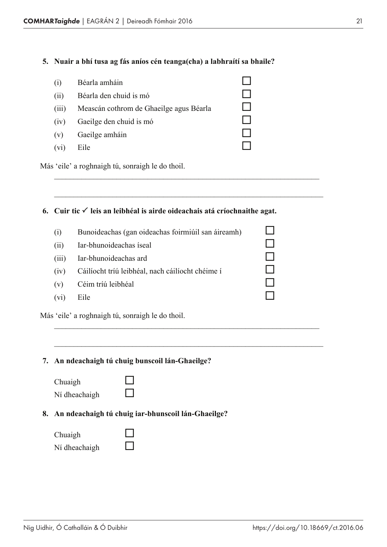#### **5. Nuair a bhí tusa ag fás aníos cén teanga(cha) a labhraítí sa bhaile?**

| (1)   | Béarla amháin                           |  |
|-------|-----------------------------------------|--|
| (11)  | Béarla den chuid is mó                  |  |
| (111) | Meascán cothrom de Ghaeilge agus Béarla |  |
| (iv)  | Gaeilge den chuid is mó                 |  |
| (v)   | Gaeilge amháin                          |  |
| (V1)  | Eile                                    |  |

Más 'eile' a roghnaigh tú, sonraigh le do thoil.

#### **6.** Cuir tic  $\checkmark$  leis an leibhéal is airde oideachais atá críochnaithe agat.

\_\_\_\_\_\_\_\_\_\_\_\_\_\_\_\_\_\_\_\_\_\_\_\_\_\_\_\_\_\_\_\_\_\_\_\_\_\_\_\_\_\_\_\_\_\_\_\_\_\_\_\_\_\_\_\_\_\_\_\_\_\_\_\_\_\_\_\_

\_\_\_\_\_\_\_\_\_\_\_\_\_\_\_\_\_\_\_\_\_\_\_\_\_\_\_\_\_\_\_\_\_\_\_\_\_\_\_\_\_\_\_\_\_\_\_\_\_\_\_\_\_\_\_\_\_\_\_\_\_\_\_\_\_\_\_\_\_

| (i)               | Bunoideachas (gan oideachas foirmiúil san áireamh) |  |
|-------------------|----------------------------------------------------|--|
| (ii)              | Iar-bhunoideachas íseal                            |  |
| (111)             | Iar-bhunoideachas ard                              |  |
| (1V)              | Cáilíocht tríú leibhéal, nach cáilíocht chéime í   |  |
| (v)               | Céim tríú leibhéal                                 |  |
| (v <sub>1</sub> ) | Eile                                               |  |
|                   | Más 'eile' a roghnaigh tú, sonraigh le do thoil.   |  |

\_\_\_\_\_\_\_\_\_\_\_\_\_\_\_\_\_\_\_\_\_\_\_\_\_\_\_\_\_\_\_\_\_\_\_\_\_\_\_\_\_\_\_\_\_\_\_\_\_\_\_\_\_\_\_\_\_\_\_\_\_\_\_\_\_\_\_\_

\_\_\_\_\_\_\_\_\_\_\_\_\_\_\_\_\_\_\_\_\_\_\_\_\_\_\_\_\_\_\_\_\_\_\_\_\_\_\_\_\_\_\_\_\_\_\_\_\_\_\_\_\_\_\_\_\_\_\_\_\_\_\_\_\_\_\_\_\_

**7. An ndeachaigh tú chuig bunscoil lán-Ghaeilge?**

| Chuaigh       |  |
|---------------|--|
| Ní dheachaigh |  |

**8. An ndeachaigh tú chuig iar-bhunscoil lán-Ghaeilge?**

| Chuaigh       |  |
|---------------|--|
| Ní dheachaigh |  |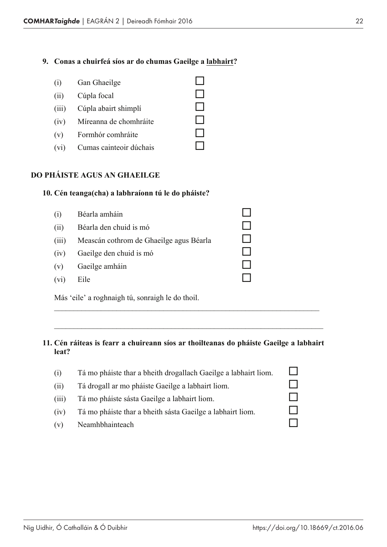#### **9. Conas a chuirfeá síos ar do chumas Gaeilge a labhairt?**

|      | (i) Gan Ghaeilge            |  |
|------|-----------------------------|--|
| (ii) | Cúpla focal                 |  |
|      | (iii) Cúpla abairt shimplí  |  |
|      | (iv) Míreanna de chomhráite |  |
|      | (v) Formhór comhráite       |  |
| (vi) | Cumas cainteoir dúchais     |  |

#### **DO PHÁISTE AGUS AN GHAEILGE**

#### **10. Cén teanga(cha) a labhraíonn tú le do pháiste?**

| (i)   | Béarla amháin                                    |  |
|-------|--------------------------------------------------|--|
| (ii)  | Béarla den chuid is mó                           |  |
| (iii) | Meascán cothrom de Ghaeilge agus Béarla          |  |
| (iv)  | Gaeilge den chuid is mó                          |  |
| (v)   | Gaeilge amháin                                   |  |
| (vi)  | Eile                                             |  |
|       | Más 'eile' a roghnaigh tú, sonraigh le do thoil. |  |

#### **11. Cén ráiteas is fearr a chuireann síos ar thoilteanas do pháiste Gaeilge a labhairt leat?**

\_\_\_\_\_\_\_\_\_\_\_\_\_\_\_\_\_\_\_\_\_\_\_\_\_\_\_\_\_\_\_\_\_\_\_\_\_\_\_\_\_\_\_\_\_\_\_\_\_\_\_\_\_\_\_\_\_\_\_\_\_\_\_\_\_\_\_\_

\_\_\_\_\_\_\_\_\_\_\_\_\_\_\_\_\_\_\_\_\_\_\_\_\_\_\_\_\_\_\_\_\_\_\_\_\_\_\_\_\_\_\_\_\_\_\_\_\_\_\_\_\_\_\_\_\_\_\_\_\_\_\_\_\_\_\_\_\_

| (1)   | Tá mo pháiste thar a bheith drogallach Gaeilge a labhairt liom. |  |
|-------|-----------------------------------------------------------------|--|
| (11)  | Tá drogall ar mo pháiste Gaeilge a labhairt liom.               |  |
| (111) | Tá mo pháiste sásta Gaeilge a labhairt liom.                    |  |
| (1V)  | Tá mo pháiste thar a bheith sásta Gaeilge a labhairt liom.      |  |
| (v)   | Neamhbhainteach                                                 |  |
|       |                                                                 |  |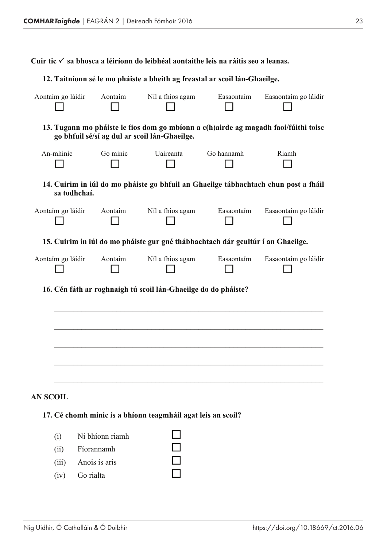**Cuir tic** P **sa bhosca a léiríonn do leibhéal aontaithe leis na ráitis seo a leanas.**

#### **12. Taitníonn sé le mo pháiste a bheith ag freastal ar scoil lán-Ghaeilge.**

| Aontaím go láidir | Aontaim         | Níl a fhios agam                                                                | Easaontaím | Easaontaím go láidir                                                                |
|-------------------|-----------------|---------------------------------------------------------------------------------|------------|-------------------------------------------------------------------------------------|
|                   |                 | go bhfuil sé/sí ag dul ar scoil lán-Ghaeilge.                                   |            | 13. Tugann mo pháiste le fios dom go mbíonn a c(h)airde ag magadh faoi/fúithi toisc |
| An-mhinic         | Go minic        | Uaireanta                                                                       | Go hannamh | Riamh                                                                               |
|                   | sa todhchaí.    |                                                                                 |            | 14. Cuirim in iúl do mo pháiste go bhfuil an Ghaeilge tábhachtach chun post a fháil |
| Aontaím go láidir | Aontaim         | Níl a fhios agam                                                                | Easaontaím | Easaontaím go láidir                                                                |
|                   |                 | 15. Cuirim in iúl do mo pháiste gur gné thábhachtach dár gcultúr í an Ghaeilge. |            |                                                                                     |
| Aontaím go láidir | Aontaim         | Níl a fhios agam                                                                | Easaontaím | Easaontaím go láidir                                                                |
|                   |                 | 16. Cén fáth ar roghnaigh tú scoil lán-Ghaeilge do do pháiste?                  |            |                                                                                     |
|                   |                 |                                                                                 |            |                                                                                     |
|                   |                 |                                                                                 |            |                                                                                     |
|                   |                 |                                                                                 |            |                                                                                     |
|                   |                 |                                                                                 |            |                                                                                     |
| <b>AN SCOIL</b>   |                 |                                                                                 |            |                                                                                     |
|                   |                 | 17. Cé chomh minic is a bhíonn teagmháil agat leis an scoil?                    |            |                                                                                     |
| (i)               | Ní bhíonn riamh |                                                                                 |            |                                                                                     |
| (ii)              | Fíorannamh      |                                                                                 |            |                                                                                     |
| (iii)             | Anois is arís   |                                                                                 |            |                                                                                     |
| (iv)              | Go rialta       |                                                                                 |            |                                                                                     |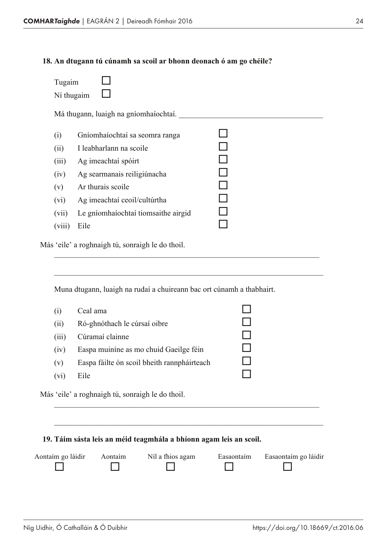#### **18. An dtugann tú cúnamh sa scoil ar bhonn deonach ó am go chéile?**

| Ní thugaim<br>Má thugann, luaigh na gníomhaíochtaí.<br>(i)<br>Gníomhaíochtaí sa seomra ranga<br>I leabharlann na scoile<br>(ii)<br>Ag imeachtaí spóirt<br>Ag searmanais reiligiúnacha<br>Ar thurais scoile<br>Ag imeachtaí ceoil/cultúrtha<br>Le gníomhaíochtaí tiomsaithe airgid<br>Eile | Tugaim |  |  |
|-------------------------------------------------------------------------------------------------------------------------------------------------------------------------------------------------------------------------------------------------------------------------------------------|--------|--|--|
|                                                                                                                                                                                                                                                                                           |        |  |  |
|                                                                                                                                                                                                                                                                                           |        |  |  |
|                                                                                                                                                                                                                                                                                           |        |  |  |
|                                                                                                                                                                                                                                                                                           |        |  |  |
|                                                                                                                                                                                                                                                                                           | (iii)  |  |  |
|                                                                                                                                                                                                                                                                                           | (iv)   |  |  |
|                                                                                                                                                                                                                                                                                           | (v)    |  |  |
|                                                                                                                                                                                                                                                                                           | (vi)   |  |  |
|                                                                                                                                                                                                                                                                                           | (vii)  |  |  |
|                                                                                                                                                                                                                                                                                           | (viii) |  |  |

\_\_\_\_\_\_\_\_\_\_\_\_\_\_\_\_\_\_\_\_\_\_\_\_\_\_\_\_\_\_\_\_\_\_\_\_\_\_\_\_\_\_\_\_\_\_\_\_\_\_\_\_\_\_\_\_\_\_\_\_\_\_\_\_\_\_\_\_

\_\_\_\_\_\_\_\_\_\_\_\_\_\_\_\_\_\_\_\_\_\_\_\_\_\_\_\_\_\_\_\_\_\_\_\_\_\_\_\_\_\_\_\_\_\_\_\_\_\_\_\_\_\_\_\_\_\_\_\_\_\_\_\_\_\_\_\_\_

Más 'eile' a roghnaigh tú, sonraigh le do thoil.

Muna dtugann, luaigh na rudaí a chuireann bac ort cúnamh a thabhairt.

| Easpa muinine as mo chuid Gaeilge féin      |
|---------------------------------------------|
| Easpa fáilte ón scoil bheith rannpháirteach |
|                                             |
|                                             |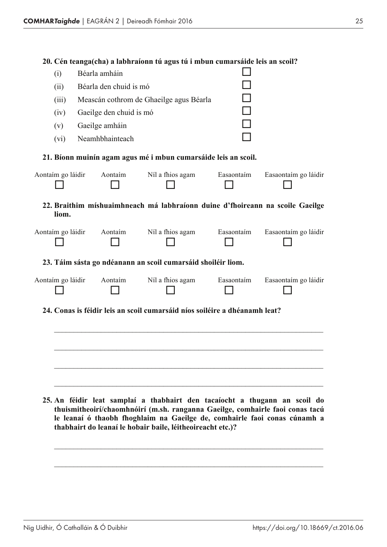| (i)               | Béarla amháin           |                                                                               |            |                      |
|-------------------|-------------------------|-------------------------------------------------------------------------------|------------|----------------------|
| (ii)              | Béarla den chuid is mó  |                                                                               |            |                      |
| (iii)             |                         | Meascán cothrom de Ghaeilge agus Béarla                                       |            |                      |
| (iv)              | Gaeilge den chuid is mó |                                                                               |            |                      |
| (v)               | Gaeilge amháin          |                                                                               |            |                      |
| (vi)              | Neamhbhainteach         |                                                                               |            |                      |
|                   |                         | 21. Bíonn muinín agam agus mé i mbun cumarsáide leis an scoil.                |            |                      |
| Aontaím go láidir | Aontaim                 | Níl a fhios agam                                                              | Easaontaím | Easaontaím go láidir |
| liom.             |                         | 22. Braithim míshuaimhneach má labhraíonn duine d'fhoireann na scoile Gaeilge |            |                      |
| Aontaím go láidir | Aontaim                 | Níl a fhios agam                                                              | Easaontaím | Easaontaím go láidir |
|                   |                         | 23. Táim sásta go ndéanann an scoil cumarsáid shoiléir liom.                  |            |                      |
| Aontaím go láidir | Aontaim                 | Níl a fhios agam                                                              | Easaontaím | Easaontaím go láidir |
|                   |                         | 24. Conas is féidir leis an scoil cumarsáid níos soiléire a dhéanamh leat?    |            |                      |
|                   |                         |                                                                               |            |                      |
|                   |                         |                                                                               |            |                      |
|                   |                         |                                                                               |            |                      |
|                   |                         |                                                                               |            |                      |
|                   |                         |                                                                               |            |                      |
|                   |                         |                                                                               |            |                      |

**25. An féidir leat samplaí a thabhairt den tacaíocht a thugann an scoil do thuismitheoirí/chaomhnóirí (m.sh. ranganna Gaeilge, comhairle faoi conas tacú le leanaí ó thaobh fhoghlaim na Gaeilge de, comhairle faoi conas cúnamh a thabhairt do leanaí le hobair baile, léitheoireacht etc.)?**

\_\_\_\_\_\_\_\_\_\_\_\_\_\_\_\_\_\_\_\_\_\_\_\_\_\_\_\_\_\_\_\_\_\_\_\_\_\_\_\_\_\_\_\_\_\_\_\_\_\_\_\_\_\_\_\_\_\_\_\_\_\_\_\_\_\_\_\_\_

\_\_\_\_\_\_\_\_\_\_\_\_\_\_\_\_\_\_\_\_\_\_\_\_\_\_\_\_\_\_\_\_\_\_\_\_\_\_\_\_\_\_\_\_\_\_\_\_\_\_\_\_\_\_\_\_\_\_\_\_\_\_\_\_\_\_\_\_\_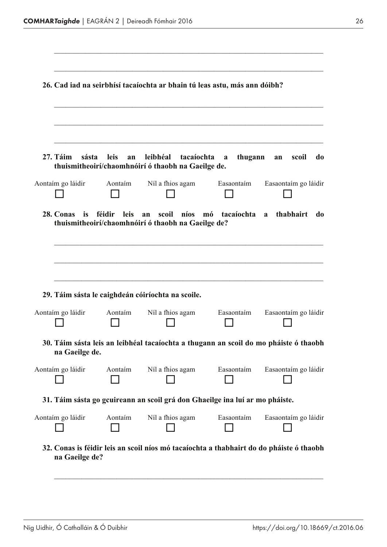|                   |                   | 26. Cad iad na seirbhísí tacaíochta ar bhain tú leas astu, más ann dóibh?                               |              |                      |
|-------------------|-------------------|---------------------------------------------------------------------------------------------------------|--------------|----------------------|
| 27. Táim<br>sásta | <b>leis</b><br>an | leibhéal<br>tacaíochta<br>thuismitheoirí/chaomhnóirí ó thaobh na Gaeilge de.                            | thugann<br>a | scoil<br>do<br>an    |
| Aontaím go láidir | Aontaim           | Níl a fhios agam                                                                                        | Easaontaim   | Easaontaím go láidir |
|                   |                   | thuismitheoirí/chaomhnóirí ó thaobh na Gaeilge de?<br>29. Táim sásta le caighdeán cóiríochta na scoile. |              |                      |
| Aontaím go láidir | Aontaim           | Níl a fhios agam                                                                                        | Easaontaim   | Easaontaím go láidir |
| na Gaeilge de.    |                   | 30. Táim sásta leis an leibhéal tacaíochta a thugann an scoil do mo pháiste ó thaobh                    |              |                      |
| Aontaím go láidir | Aontaim           | Níl a fhios agam                                                                                        | Easaontaím   | Easaontaím go láidir |
|                   |                   | 31. Táim sásta go gcuireann an scoil grá don Ghaeilge ina luí ar mo pháiste.                            |              |                      |
| Aontaím go láidir | Aontaim           | Níl a fhios agam                                                                                        | Easaontaím   | Easaontaím go láidir |
| na Gaeilge de?    |                   | 32. Conas is féidir leis an scoil níos mó tacaíochta a thabhairt do do pháiste ó thaobh                 |              |                      |

\_\_\_\_\_\_\_\_\_\_\_\_\_\_\_\_\_\_\_\_\_\_\_\_\_\_\_\_\_\_\_\_\_\_\_\_\_\_\_\_\_\_\_\_\_\_\_\_\_\_\_\_\_\_\_\_\_\_\_\_\_\_\_\_\_\_\_\_\_

 $\_$  , and the set of the set of the set of the set of the set of the set of the set of the set of the set of the set of the set of the set of the set of the set of the set of the set of the set of the set of the set of th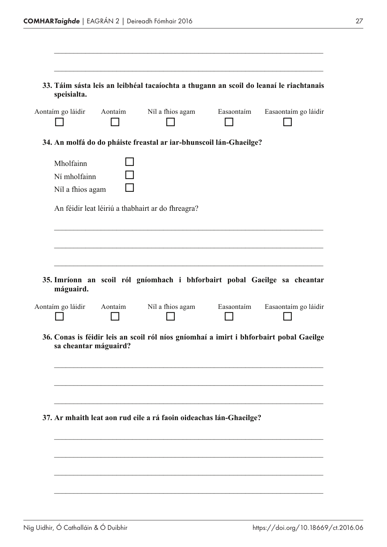| speisialta.                                   |                           |                                                                                        |                      |
|-----------------------------------------------|---------------------------|----------------------------------------------------------------------------------------|----------------------|
|                                               | Aontaim go láidir Aontaim | Níl a fhios agam Easaontaim                                                            | Easaontaím go láidir |
|                                               |                           | 34. An molfá do do pháiste freastal ar iar-bhunscoil lán-Ghaeilge?                     |                      |
| Mholfainn<br>Ní mholfainn<br>Níl a fhios agam |                           |                                                                                        |                      |
|                                               |                           | An féidir leat léiriú a thabhairt ar do fhreagra?                                      |                      |
|                                               |                           |                                                                                        |                      |
|                                               |                           |                                                                                        |                      |
|                                               |                           |                                                                                        |                      |
|                                               |                           |                                                                                        |                      |
|                                               |                           |                                                                                        |                      |
| máguaird.                                     |                           | 35. Imríonn an scoil ról gníomhach i bhforbairt pobal Gaeilge sa cheantar              |                      |
| Aontaím go láidir                             | Aontaim                   | Níl a fhios agam Easaontaim                                                            | Easaontaím go láidir |
|                                               |                           |                                                                                        |                      |
| sa cheantar máguaird?                         |                           | 36. Conas is féidir leis an scoil ról níos gníomhaí a imirt i bhforbairt pobal Gaeilge |                      |
|                                               |                           |                                                                                        |                      |
|                                               |                           |                                                                                        |                      |
|                                               |                           |                                                                                        |                      |
|                                               |                           | 37. Ar mhaith leat aon rud eile a rá faoin oideachas lán-Ghaeilge?                     |                      |
|                                               |                           |                                                                                        |                      |